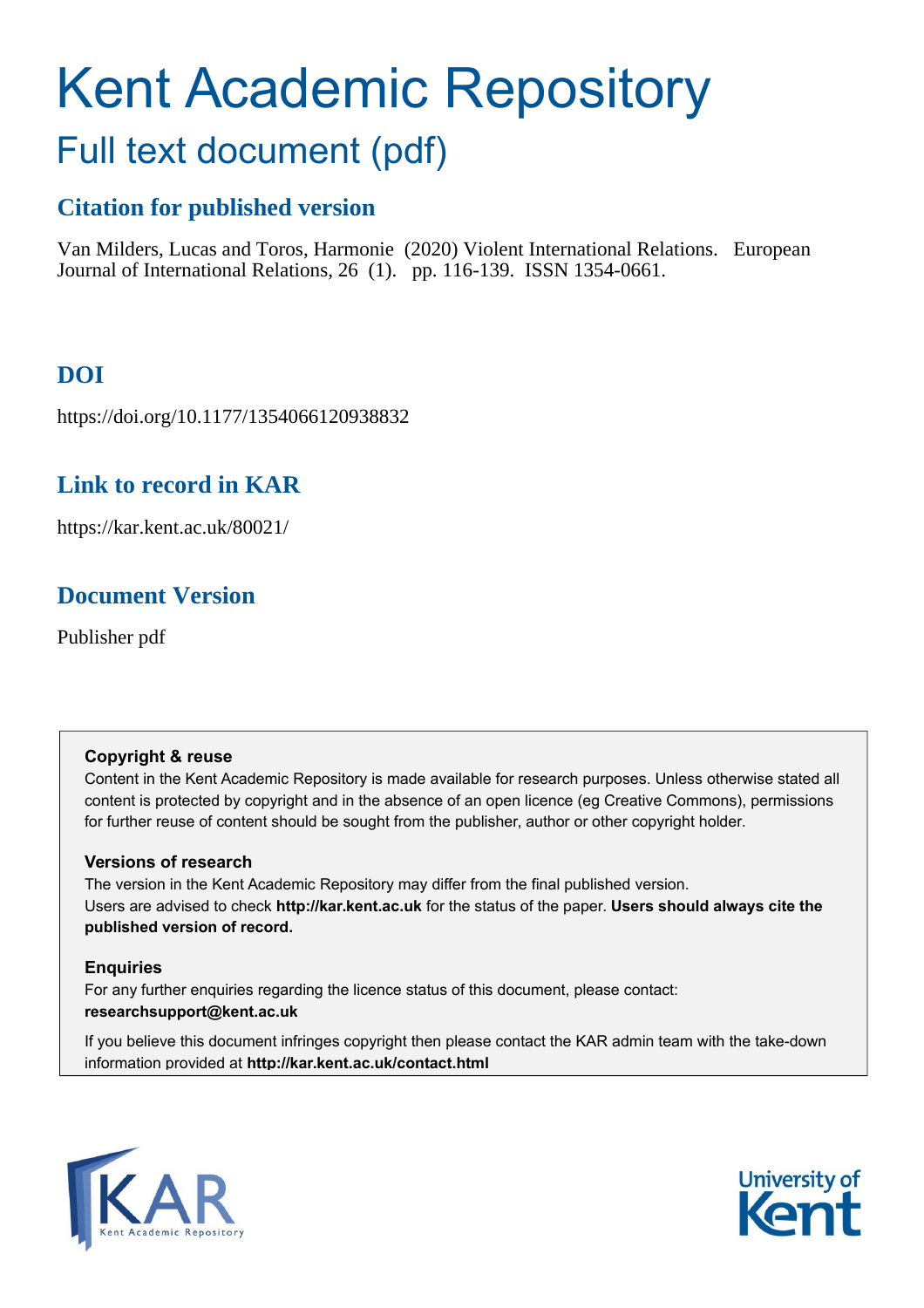# Kent Academic Repository Full text document (pdf)

# **Citation for published version**

Van Milders, Lucas and Toros, Harmonie (2020) Violent International Relations. European Journal of International Relations, 26 (1). pp. 116-139. ISSN 1354-0661.

# **DOI**

https://doi.org/10.1177/1354066120938832

# **Link to record in KAR**

https://kar.kent.ac.uk/80021/

# **Document Version**

Publisher pdf

### **Copyright & reuse**

Content in the Kent Academic Repository is made available for research purposes. Unless otherwise stated all content is protected by copyright and in the absence of an open licence (eg Creative Commons), permissions for further reuse of content should be sought from the publisher, author or other copyright holder.

### **Versions of research**

The version in the Kent Academic Repository may differ from the final published version. Users are advised to check **http://kar.kent.ac.uk** for the status of the paper. **Users should always cite the published version of record.**

### **Enquiries**

For any further enquiries regarding the licence status of this document, please contact: **researchsupport@kent.ac.uk**

If you believe this document infringes copyright then please contact the KAR admin team with the take-down information provided at **http://kar.kent.ac.uk/contact.html**



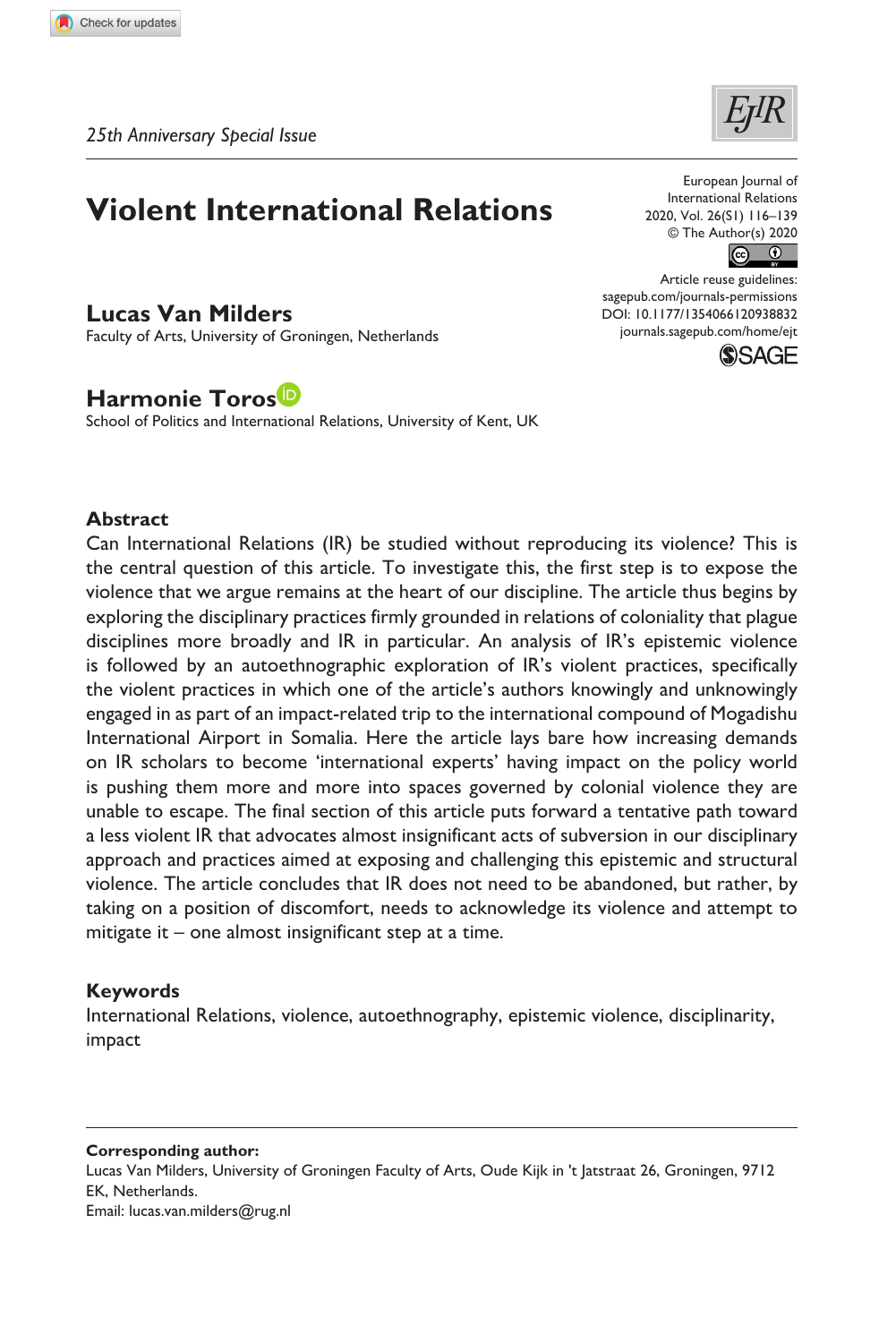**9388[32](http://crossmark.crossref.org/dialog/?doi=10.1177%2F1354066120938832&domain=pdf&date_stamp=2020-09-28)** EJT0010.1177/1354066120938832European Journal of International Relations**Van Milders and Toros**

*25th Anniversary Special Issue*



### **Violent International Relations**

#### **Lucas Van Milders**

Faculty of Arts, University of Groningen, Netherlands

#### **Harmonie Toros**

School of Politics and International Relations, University of Kent, UK

European Journal of International Relations 2020, Vol. 26(S1) 116–139 © The Author(s) 2020  $\boxed{6}$ 

DOI: 10.1177/1354066120938832 Article reuse guidelines: [sagepub.com/journals-permissions](https://uk.sagepub.com/en-gb/journals-permissions) [journals.sagepub.com/home/ejt](https://journals.sagepub.com/home/ejt
)



#### **Abstract**

Can International Relations (IR) be studied without reproducing its violence? This is the central question of this article. To investigate this, the first step is to expose the violence that we argue remains at the heart of our discipline. The article thus begins by exploring the disciplinary practices firmly grounded in relations of coloniality that plague disciplines more broadly and IR in particular. An analysis of IR's epistemic violence is followed by an autoethnographic exploration of IR's violent practices, specifically the violent practices in which one of the article's authors knowingly and unknowingly engaged in as part of an impact-related trip to the international compound of Mogadishu International Airport in Somalia. Here the article lays bare how increasing demands on IR scholars to become 'international experts' having impact on the policy world is pushing them more and more into spaces governed by colonial violence they are unable to escape. The final section of this article puts forward a tentative path toward a less violent IR that advocates almost insignificant acts of subversion in our disciplinary approach and practices aimed at exposing and challenging this epistemic and structural violence. The article concludes that IR does not need to be abandoned, but rather, by taking on a position of discomfort, needs to acknowledge its violence and attempt to mitigate it – one almost insignificant step at a time.

#### **Keywords**

International Relations, violence, autoethnography, epistemic violence, disciplinarity, impact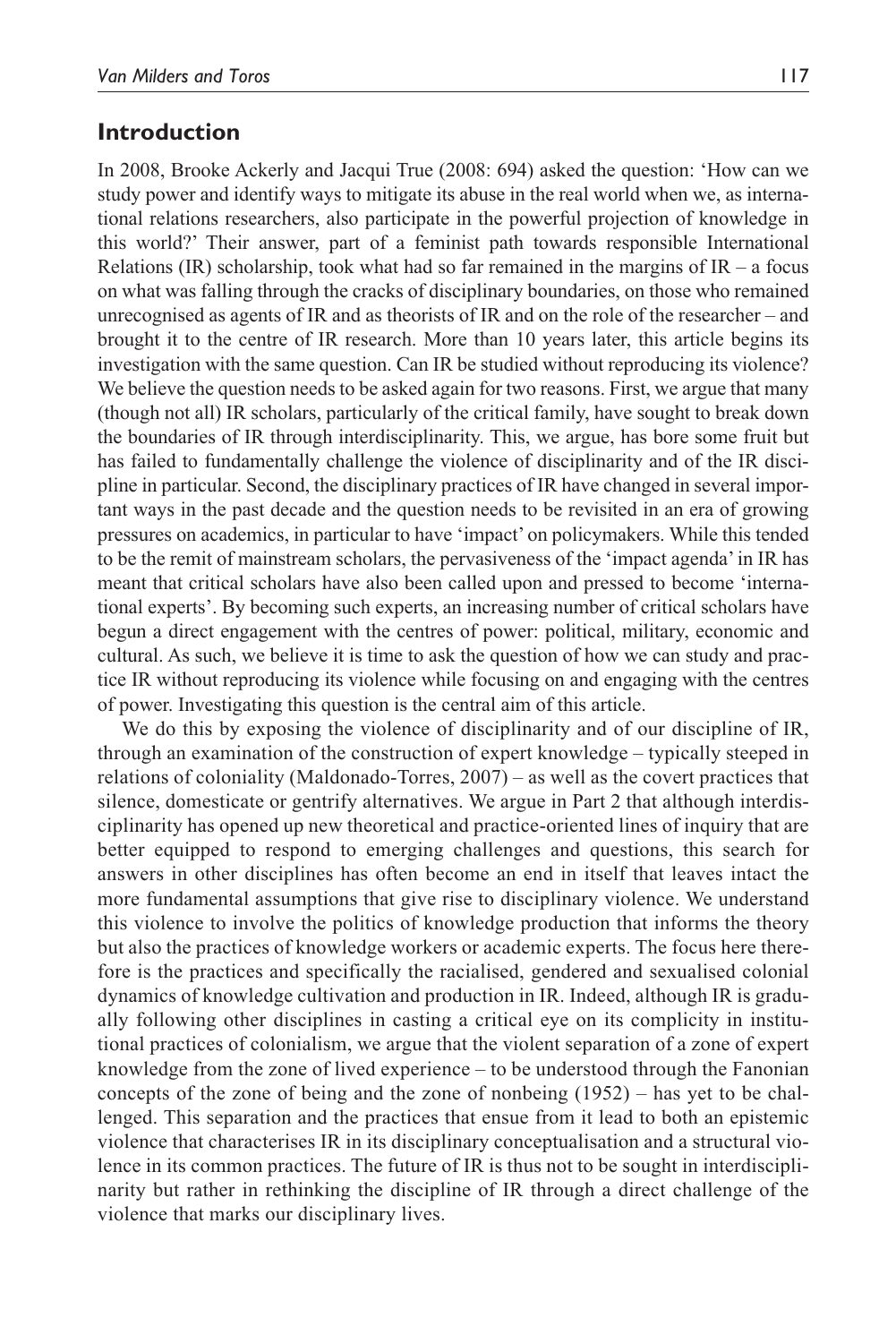#### **Introduction**

In 2008, Brooke Ackerly and Jacqui True (2008: 694) asked the question: 'How can we study power and identify ways to mitigate its abuse in the real world when we, as international relations researchers, also participate in the powerful projection of knowledge in this world?' Their answer, part of a feminist path towards responsible International Relations (IR) scholarship, took what had so far remained in the margins of  $IR - a$  focus on what was falling through the cracks of disciplinary boundaries, on those who remained unrecognised as agents of IR and as theorists of IR and on the role of the researcher – and brought it to the centre of IR research. More than 10 years later, this article begins its investigation with the same question. Can IR be studied without reproducing its violence? We believe the question needs to be asked again for two reasons. First, we argue that many (though not all) IR scholars, particularly of the critical family, have sought to break down the boundaries of IR through interdisciplinarity. This, we argue, has bore some fruit but has failed to fundamentally challenge the violence of disciplinarity and of the IR discipline in particular. Second, the disciplinary practices of IR have changed in several important ways in the past decade and the question needs to be revisited in an era of growing pressures on academics, in particular to have 'impact' on policymakers. While this tended to be the remit of mainstream scholars, the pervasiveness of the 'impact agenda' in IR has meant that critical scholars have also been called upon and pressed to become 'international experts'. By becoming such experts, an increasing number of critical scholars have begun a direct engagement with the centres of power: political, military, economic and cultural. As such, we believe it is time to ask the question of how we can study and practice IR without reproducing its violence while focusing on and engaging with the centres of power. Investigating this question is the central aim of this article.

We do this by exposing the violence of disciplinarity and of our discipline of IR, through an examination of the construction of expert knowledge – typically steeped in relations of coloniality (Maldonado-Torres, 2007) – as well as the covert practices that silence, domesticate or gentrify alternatives. We argue in Part 2 that although interdisciplinarity has opened up new theoretical and practice-oriented lines of inquiry that are better equipped to respond to emerging challenges and questions, this search for answers in other disciplines has often become an end in itself that leaves intact the more fundamental assumptions that give rise to disciplinary violence. We understand this violence to involve the politics of knowledge production that informs the theory but also the practices of knowledge workers or academic experts. The focus here therefore is the practices and specifically the racialised, gendered and sexualised colonial dynamics of knowledge cultivation and production in IR. Indeed, although IR is gradually following other disciplines in casting a critical eye on its complicity in institutional practices of colonialism, we argue that the violent separation of a zone of expert knowledge from the zone of lived experience – to be understood through the Fanonian concepts of the zone of being and the zone of nonbeing (1952) – has yet to be challenged. This separation and the practices that ensue from it lead to both an epistemic violence that characterises IR in its disciplinary conceptualisation and a structural violence in its common practices. The future of IR is thus not to be sought in interdisciplinarity but rather in rethinking the discipline of IR through a direct challenge of the violence that marks our disciplinary lives.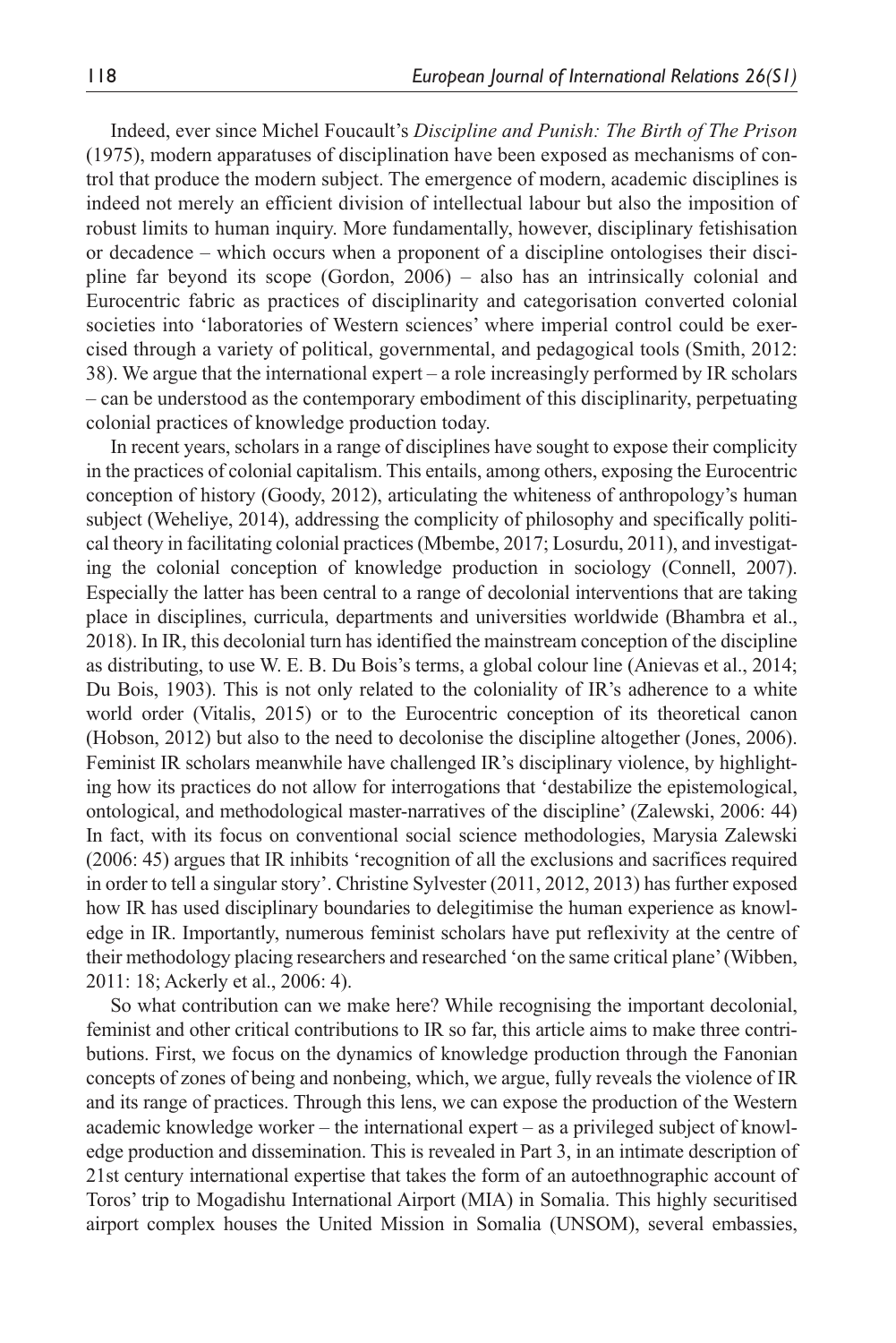Indeed, ever since Michel Foucault's *Discipline and Punish: The Birth of The Prison* (1975), modern apparatuses of disciplination have been exposed as mechanisms of control that produce the modern subject. The emergence of modern, academic disciplines is indeed not merely an efficient division of intellectual labour but also the imposition of robust limits to human inquiry. More fundamentally, however, disciplinary fetishisation or decadence – which occurs when a proponent of a discipline ontologises their discipline far beyond its scope (Gordon, 2006) – also has an intrinsically colonial and Eurocentric fabric as practices of disciplinarity and categorisation converted colonial societies into 'laboratories of Western sciences' where imperial control could be exercised through a variety of political, governmental, and pedagogical tools (Smith, 2012: 38). We argue that the international expert – a role increasingly performed by IR scholars – can be understood as the contemporary embodiment of this disciplinarity, perpetuating colonial practices of knowledge production today.

In recent years, scholars in a range of disciplines have sought to expose their complicity in the practices of colonial capitalism. This entails, among others, exposing the Eurocentric conception of history (Goody, 2012), articulating the whiteness of anthropology's human subject (Weheliye, 2014), addressing the complicity of philosophy and specifically political theory in facilitating colonial practices (Mbembe, 2017; Losurdu, 2011), and investigating the colonial conception of knowledge production in sociology (Connell, 2007). Especially the latter has been central to a range of decolonial interventions that are taking place in disciplines, curricula, departments and universities worldwide (Bhambra et al., 2018). In IR, this decolonial turn has identified the mainstream conception of the discipline as distributing, to use W. E. B. Du Bois's terms, a global colour line (Anievas et al., 2014; Du Bois, 1903). This is not only related to the coloniality of IR's adherence to a white world order (Vitalis, 2015) or to the Eurocentric conception of its theoretical canon (Hobson, 2012) but also to the need to decolonise the discipline altogether (Jones, 2006). Feminist IR scholars meanwhile have challenged IR's disciplinary violence, by highlighting how its practices do not allow for interrogations that 'destabilize the epistemological, ontological, and methodological master-narratives of the discipline' (Zalewski, 2006: 44) In fact, with its focus on conventional social science methodologies, Marysia Zalewski (2006: 45) argues that IR inhibits 'recognition of all the exclusions and sacrifices required in order to tell a singular story'. Christine Sylvester (2011, 2012, 2013) has further exposed how IR has used disciplinary boundaries to delegitimise the human experience as knowledge in IR. Importantly, numerous feminist scholars have put reflexivity at the centre of their methodology placing researchers and researched 'on the same critical plane' (Wibben, 2011: 18; Ackerly et al., 2006: 4).

So what contribution can we make here? While recognising the important decolonial, feminist and other critical contributions to IR so far, this article aims to make three contributions. First, we focus on the dynamics of knowledge production through the Fanonian concepts of zones of being and nonbeing, which, we argue, fully reveals the violence of IR and its range of practices. Through this lens, we can expose the production of the Western academic knowledge worker – the international expert – as a privileged subject of knowledge production and dissemination. This is revealed in Part 3, in an intimate description of 21st century international expertise that takes the form of an autoethnographic account of Toros' trip to Mogadishu International Airport (MIA) in Somalia. This highly securitised airport complex houses the United Mission in Somalia (UNSOM), several embassies,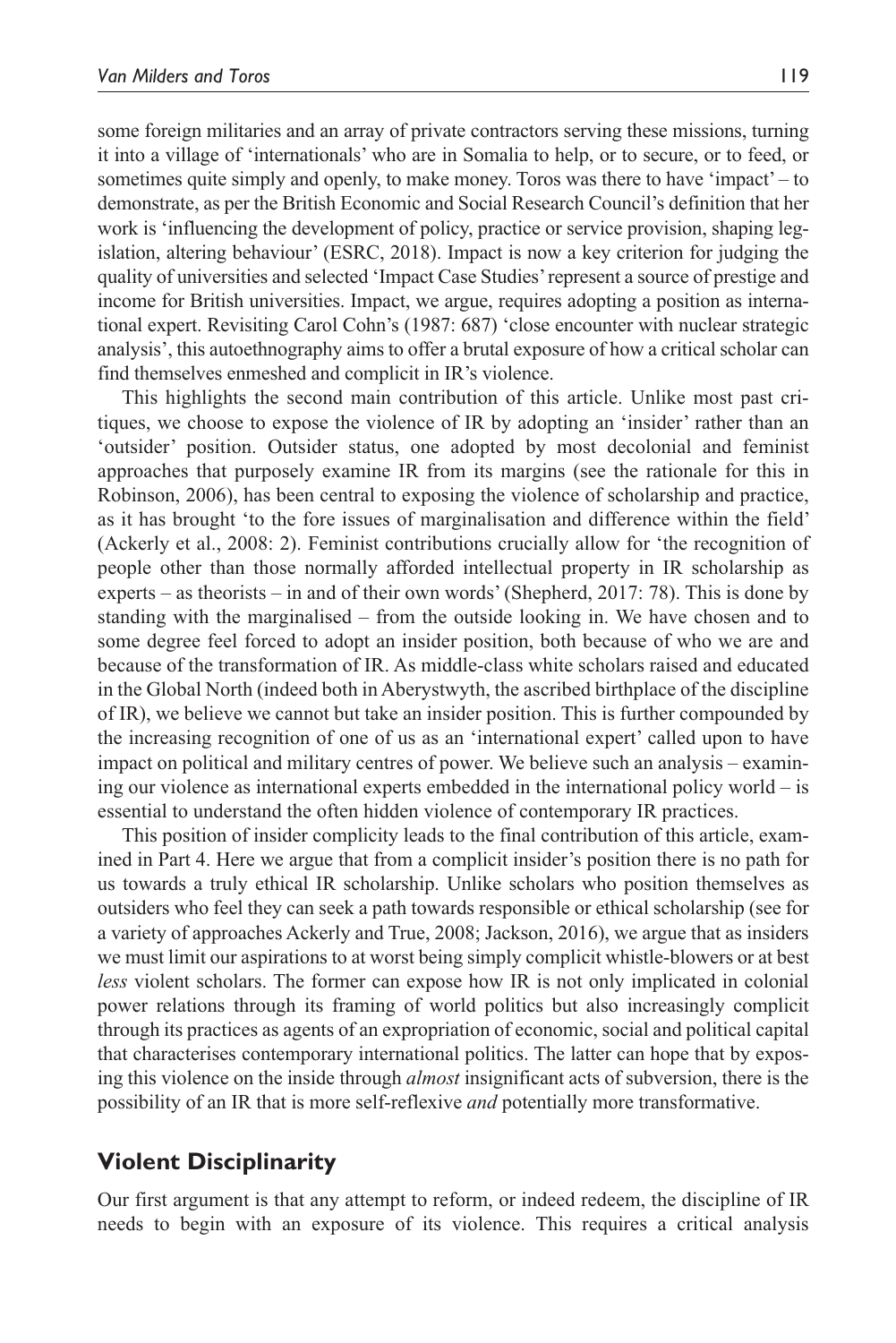some foreign militaries and an array of private contractors serving these missions, turning it into a village of 'internationals' who are in Somalia to help, or to secure, or to feed, or sometimes quite simply and openly, to make money. Toros was there to have 'impact' – to demonstrate, as per the British Economic and Social Research Council's definition that her work is 'influencing the development of policy, practice or service provision, shaping legislation, altering behaviour' (ESRC, 2018). Impact is now a key criterion for judging the quality of universities and selected 'Impact Case Studies' represent a source of prestige and income for British universities. Impact, we argue, requires adopting a position as international expert. Revisiting Carol Cohn's (1987: 687) 'close encounter with nuclear strategic analysis', this autoethnography aims to offer a brutal exposure of how a critical scholar can find themselves enmeshed and complicit in IR's violence.

This highlights the second main contribution of this article. Unlike most past critiques, we choose to expose the violence of IR by adopting an 'insider' rather than an 'outsider' position. Outsider status, one adopted by most decolonial and feminist approaches that purposely examine IR from its margins (see the rationale for this in Robinson, 2006), has been central to exposing the violence of scholarship and practice, as it has brought 'to the fore issues of marginalisation and difference within the field' (Ackerly et al., 2008: 2). Feminist contributions crucially allow for 'the recognition of people other than those normally afforded intellectual property in IR scholarship as experts – as theorists – in and of their own words' (Shepherd, 2017: 78). This is done by standing with the marginalised – from the outside looking in. We have chosen and to some degree feel forced to adopt an insider position, both because of who we are and because of the transformation of IR. As middle-class white scholars raised and educated in the Global North (indeed both in Aberystwyth, the ascribed birthplace of the discipline of IR), we believe we cannot but take an insider position. This is further compounded by the increasing recognition of one of us as an 'international expert' called upon to have impact on political and military centres of power. We believe such an analysis – examining our violence as international experts embedded in the international policy world – is essential to understand the often hidden violence of contemporary IR practices.

This position of insider complicity leads to the final contribution of this article, examined in Part 4. Here we argue that from a complicit insider's position there is no path for us towards a truly ethical IR scholarship. Unlike scholars who position themselves as outsiders who feel they can seek a path towards responsible or ethical scholarship (see for a variety of approaches Ackerly and True, 2008; Jackson, 2016), we argue that as insiders we must limit our aspirations to at worst being simply complicit whistle-blowers or at best *less* violent scholars. The former can expose how IR is not only implicated in colonial power relations through its framing of world politics but also increasingly complicit through its practices as agents of an expropriation of economic, social and political capital that characterises contemporary international politics. The latter can hope that by exposing this violence on the inside through *almost* insignificant acts of subversion, there is the possibility of an IR that is more self-reflexive *and* potentially more transformative.

#### **Violent Disciplinarity**

Our first argument is that any attempt to reform, or indeed redeem, the discipline of IR needs to begin with an exposure of its violence. This requires a critical analysis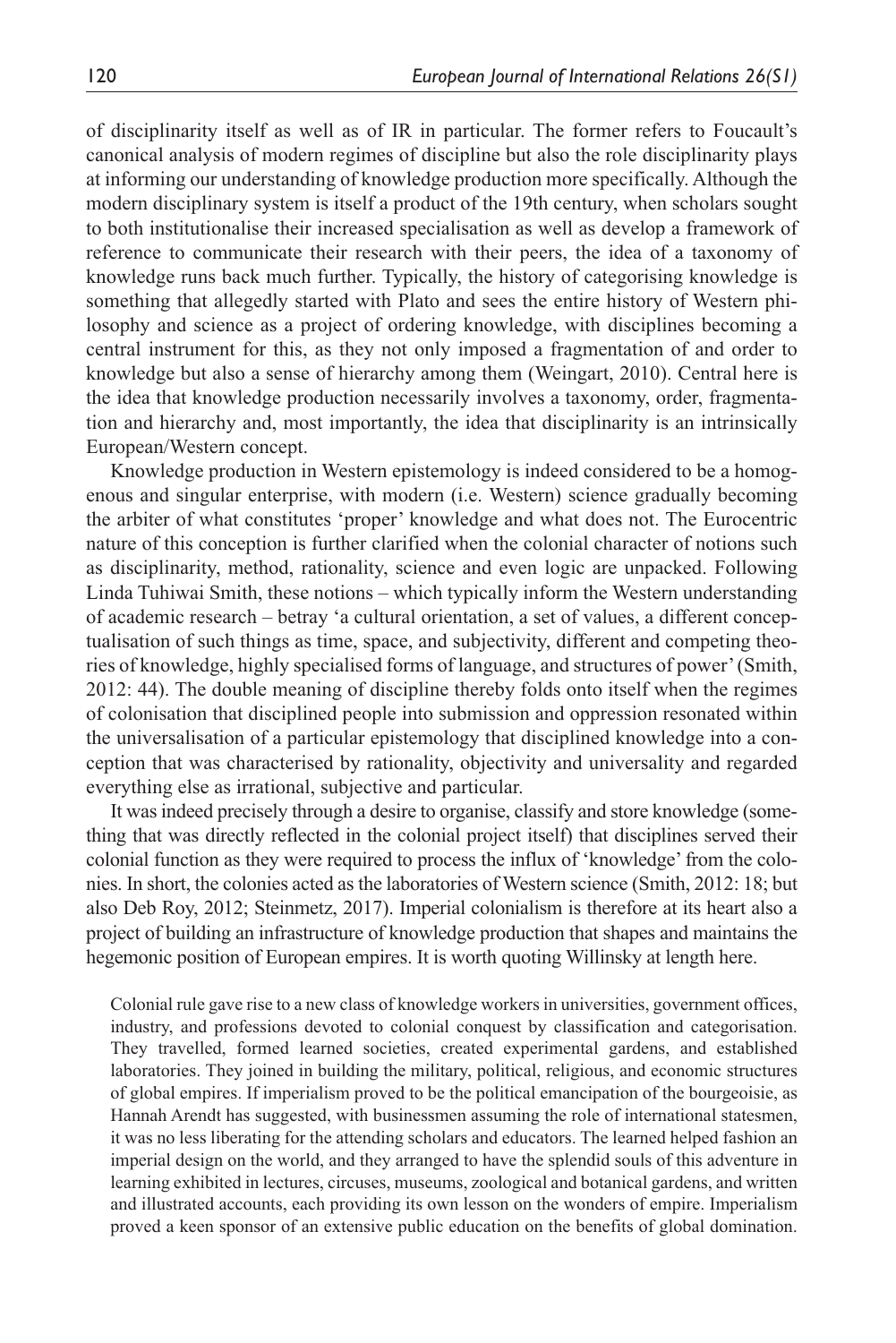of disciplinarity itself as well as of IR in particular. The former refers to Foucault's canonical analysis of modern regimes of discipline but also the role disciplinarity plays at informing our understanding of knowledge production more specifically. Although the modern disciplinary system is itself a product of the 19th century, when scholars sought to both institutionalise their increased specialisation as well as develop a framework of reference to communicate their research with their peers, the idea of a taxonomy of knowledge runs back much further. Typically, the history of categorising knowledge is something that allegedly started with Plato and sees the entire history of Western philosophy and science as a project of ordering knowledge, with disciplines becoming a central instrument for this, as they not only imposed a fragmentation of and order to knowledge but also a sense of hierarchy among them (Weingart, 2010). Central here is the idea that knowledge production necessarily involves a taxonomy, order, fragmentation and hierarchy and, most importantly, the idea that disciplinarity is an intrinsically European/Western concept.

Knowledge production in Western epistemology is indeed considered to be a homogenous and singular enterprise, with modern (i.e. Western) science gradually becoming the arbiter of what constitutes 'proper' knowledge and what does not. The Eurocentric nature of this conception is further clarified when the colonial character of notions such as disciplinarity, method, rationality, science and even logic are unpacked. Following Linda Tuhiwai Smith, these notions – which typically inform the Western understanding of academic research – betray 'a cultural orientation, a set of values, a different conceptualisation of such things as time, space, and subjectivity, different and competing theories of knowledge, highly specialised forms of language, and structures of power' (Smith, 2012: 44). The double meaning of discipline thereby folds onto itself when the regimes of colonisation that disciplined people into submission and oppression resonated within the universalisation of a particular epistemology that disciplined knowledge into a conception that was characterised by rationality, objectivity and universality and regarded everything else as irrational, subjective and particular.

It was indeed precisely through a desire to organise, classify and store knowledge (something that was directly reflected in the colonial project itself) that disciplines served their colonial function as they were required to process the influx of 'knowledge' from the colonies. In short, the colonies acted as the laboratories of Western science (Smith, 2012: 18; but also Deb Roy, 2012; Steinmetz, 2017). Imperial colonialism is therefore at its heart also a project of building an infrastructure of knowledge production that shapes and maintains the hegemonic position of European empires. It is worth quoting Willinsky at length here.

Colonial rule gave rise to a new class of knowledge workers in universities, government offices, industry, and professions devoted to colonial conquest by classification and categorisation. They travelled, formed learned societies, created experimental gardens, and established laboratories. They joined in building the military, political, religious, and economic structures of global empires. If imperialism proved to be the political emancipation of the bourgeoisie, as Hannah Arendt has suggested, with businessmen assuming the role of international statesmen, it was no less liberating for the attending scholars and educators. The learned helped fashion an imperial design on the world, and they arranged to have the splendid souls of this adventure in learning exhibited in lectures, circuses, museums, zoological and botanical gardens, and written and illustrated accounts, each providing its own lesson on the wonders of empire. Imperialism proved a keen sponsor of an extensive public education on the benefits of global domination.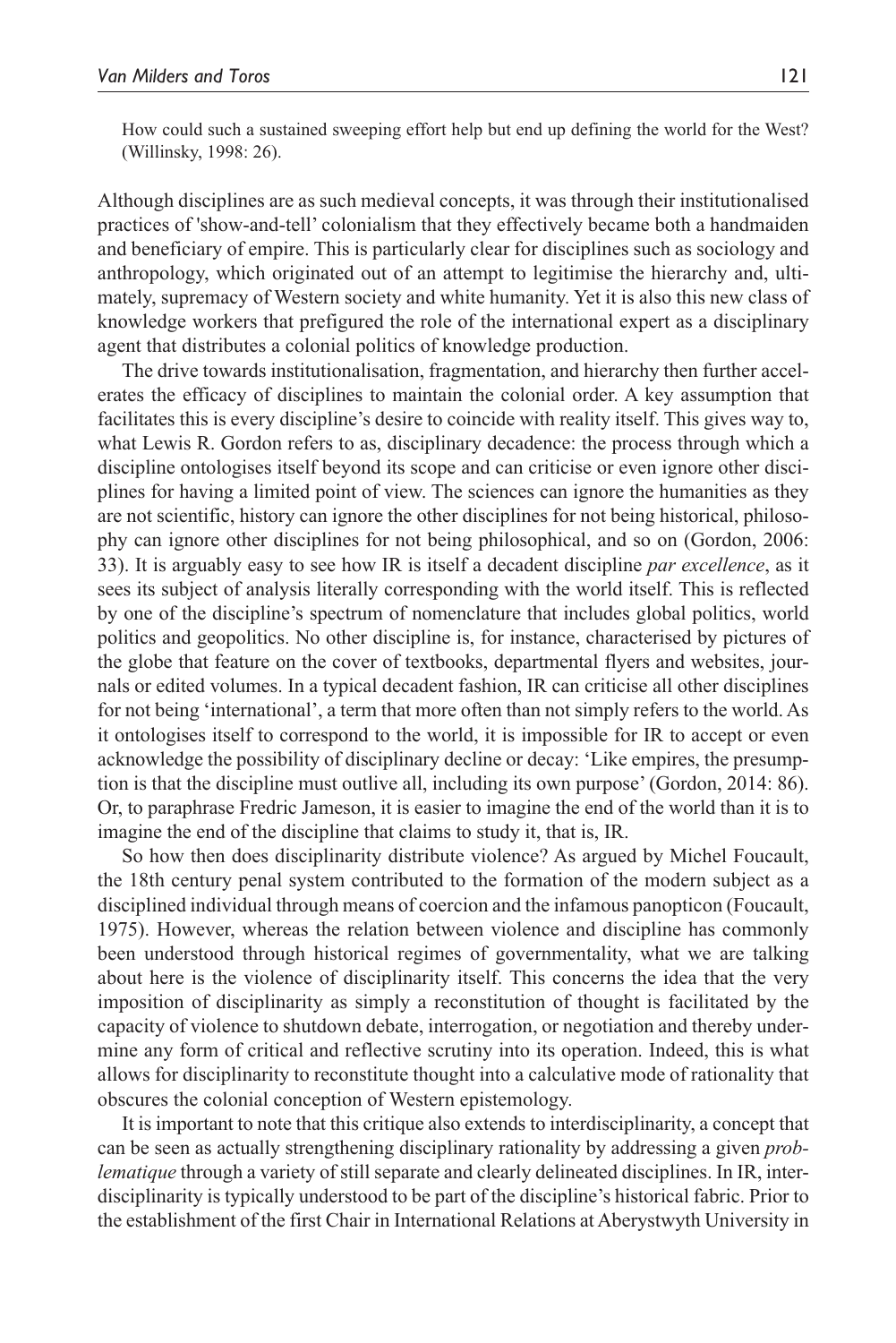How could such a sustained sweeping effort help but end up defining the world for the West? (Willinsky, 1998: 26).

Although disciplines are as such medieval concepts, it was through their institutionalised practices of 'show-and-tell' colonialism that they effectively became both a handmaiden and beneficiary of empire. This is particularly clear for disciplines such as sociology and anthropology, which originated out of an attempt to legitimise the hierarchy and, ultimately, supremacy of Western society and white humanity. Yet it is also this new class of knowledge workers that prefigured the role of the international expert as a disciplinary agent that distributes a colonial politics of knowledge production.

The drive towards institutionalisation, fragmentation, and hierarchy then further accelerates the efficacy of disciplines to maintain the colonial order. A key assumption that facilitates this is every discipline's desire to coincide with reality itself. This gives way to, what Lewis R. Gordon refers to as, disciplinary decadence: the process through which a discipline ontologises itself beyond its scope and can criticise or even ignore other disciplines for having a limited point of view. The sciences can ignore the humanities as they are not scientific, history can ignore the other disciplines for not being historical, philosophy can ignore other disciplines for not being philosophical, and so on (Gordon, 2006: 33). It is arguably easy to see how IR is itself a decadent discipline *par excellence*, as it sees its subject of analysis literally corresponding with the world itself. This is reflected by one of the discipline's spectrum of nomenclature that includes global politics, world politics and geopolitics. No other discipline is, for instance, characterised by pictures of the globe that feature on the cover of textbooks, departmental flyers and websites, journals or edited volumes. In a typical decadent fashion, IR can criticise all other disciplines for not being 'international', a term that more often than not simply refers to the world. As it ontologises itself to correspond to the world, it is impossible for IR to accept or even acknowledge the possibility of disciplinary decline or decay: 'Like empires, the presumption is that the discipline must outlive all, including its own purpose' (Gordon, 2014: 86). Or, to paraphrase Fredric Jameson, it is easier to imagine the end of the world than it is to imagine the end of the discipline that claims to study it, that is, IR.

So how then does disciplinarity distribute violence? As argued by Michel Foucault, the 18th century penal system contributed to the formation of the modern subject as a disciplined individual through means of coercion and the infamous panopticon (Foucault, 1975). However, whereas the relation between violence and discipline has commonly been understood through historical regimes of governmentality, what we are talking about here is the violence of disciplinarity itself. This concerns the idea that the very imposition of disciplinarity as simply a reconstitution of thought is facilitated by the capacity of violence to shutdown debate, interrogation, or negotiation and thereby undermine any form of critical and reflective scrutiny into its operation. Indeed, this is what allows for disciplinarity to reconstitute thought into a calculative mode of rationality that obscures the colonial conception of Western epistemology.

It is important to note that this critique also extends to interdisciplinarity, a concept that can be seen as actually strengthening disciplinary rationality by addressing a given *problematique* through a variety of still separate and clearly delineated disciplines. In IR, interdisciplinarity is typically understood to be part of the discipline's historical fabric. Prior to the establishment of the first Chair in International Relations at Aberystwyth University in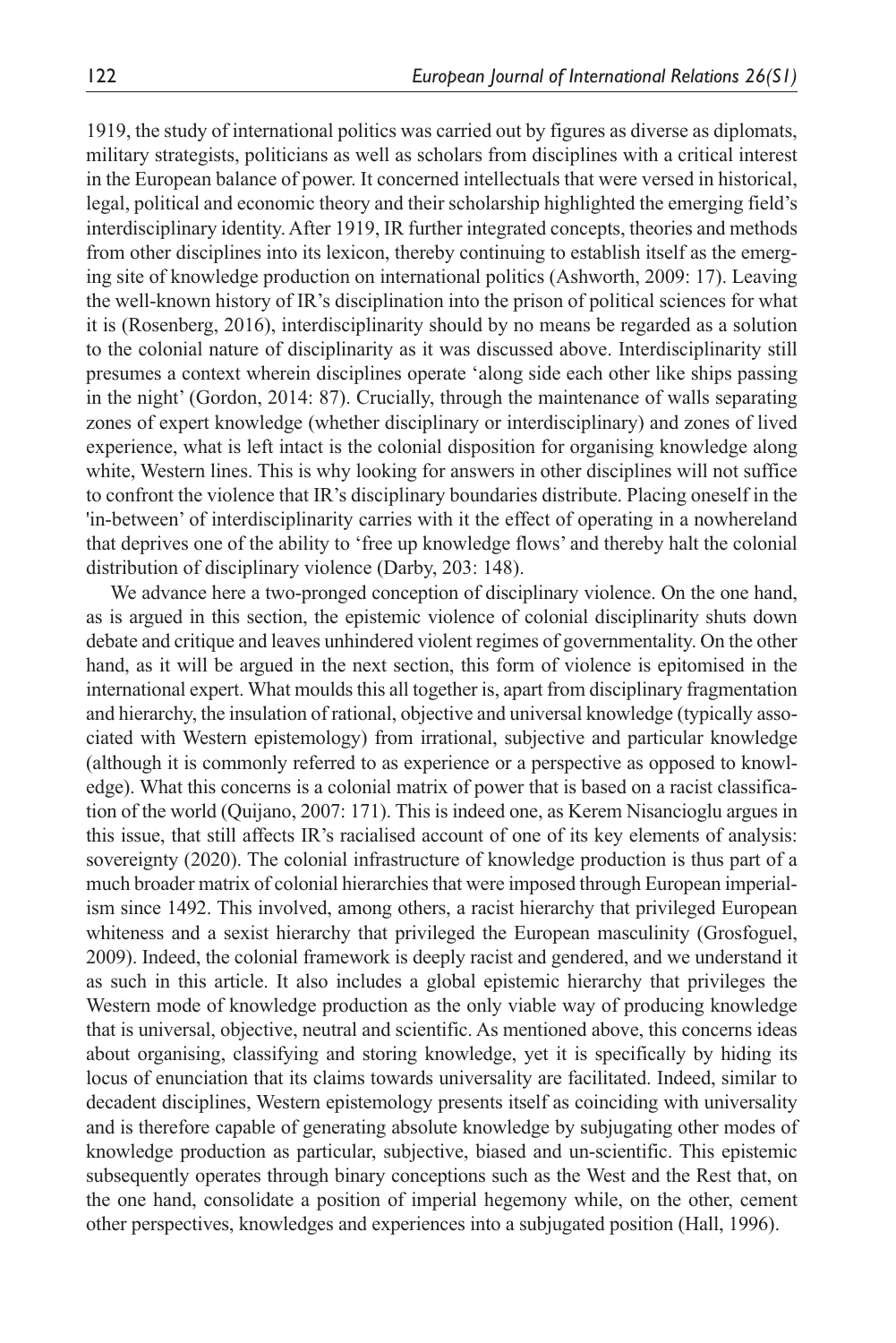1919, the study of international politics was carried out by figures as diverse as diplomats, military strategists, politicians as well as scholars from disciplines with a critical interest in the European balance of power. It concerned intellectuals that were versed in historical, legal, political and economic theory and their scholarship highlighted the emerging field's interdisciplinary identity. After 1919, IR further integrated concepts, theories and methods from other disciplines into its lexicon, thereby continuing to establish itself as the emerging site of knowledge production on international politics (Ashworth, 2009: 17). Leaving the well-known history of IR's disciplination into the prison of political sciences for what it is (Rosenberg, 2016), interdisciplinarity should by no means be regarded as a solution to the colonial nature of disciplinarity as it was discussed above. Interdisciplinarity still presumes a context wherein disciplines operate 'along side each other like ships passing in the night' (Gordon, 2014: 87). Crucially, through the maintenance of walls separating zones of expert knowledge (whether disciplinary or interdisciplinary) and zones of lived experience, what is left intact is the colonial disposition for organising knowledge along white, Western lines. This is why looking for answers in other disciplines will not suffice to confront the violence that IR's disciplinary boundaries distribute. Placing oneself in the 'in-between' of interdisciplinarity carries with it the effect of operating in a nowhereland that deprives one of the ability to 'free up knowledge flows' and thereby halt the colonial distribution of disciplinary violence (Darby, 203: 148).

We advance here a two-pronged conception of disciplinary violence. On the one hand, as is argued in this section, the epistemic violence of colonial disciplinarity shuts down debate and critique and leaves unhindered violent regimes of governmentality. On the other hand, as it will be argued in the next section, this form of violence is epitomised in the international expert. What moulds this all together is, apart from disciplinary fragmentation and hierarchy, the insulation of rational, objective and universal knowledge (typically associated with Western epistemology) from irrational, subjective and particular knowledge (although it is commonly referred to as experience or a perspective as opposed to knowledge). What this concerns is a colonial matrix of power that is based on a racist classification of the world (Quijano, 2007: 171). This is indeed one, as Kerem Nisancioglu argues in this issue, that still affects IR's racialised account of one of its key elements of analysis: sovereignty (2020). The colonial infrastructure of knowledge production is thus part of a much broader matrix of colonial hierarchies that were imposed through European imperialism since 1492. This involved, among others, a racist hierarchy that privileged European whiteness and a sexist hierarchy that privileged the European masculinity (Grosfoguel, 2009). Indeed, the colonial framework is deeply racist and gendered, and we understand it as such in this article. It also includes a global epistemic hierarchy that privileges the Western mode of knowledge production as the only viable way of producing knowledge that is universal, objective, neutral and scientific. As mentioned above, this concerns ideas about organising, classifying and storing knowledge, yet it is specifically by hiding its locus of enunciation that its claims towards universality are facilitated. Indeed, similar to decadent disciplines, Western epistemology presents itself as coinciding with universality and is therefore capable of generating absolute knowledge by subjugating other modes of knowledge production as particular, subjective, biased and un-scientific. This epistemic subsequently operates through binary conceptions such as the West and the Rest that, on the one hand, consolidate a position of imperial hegemony while, on the other, cement other perspectives, knowledges and experiences into a subjugated position (Hall, 1996).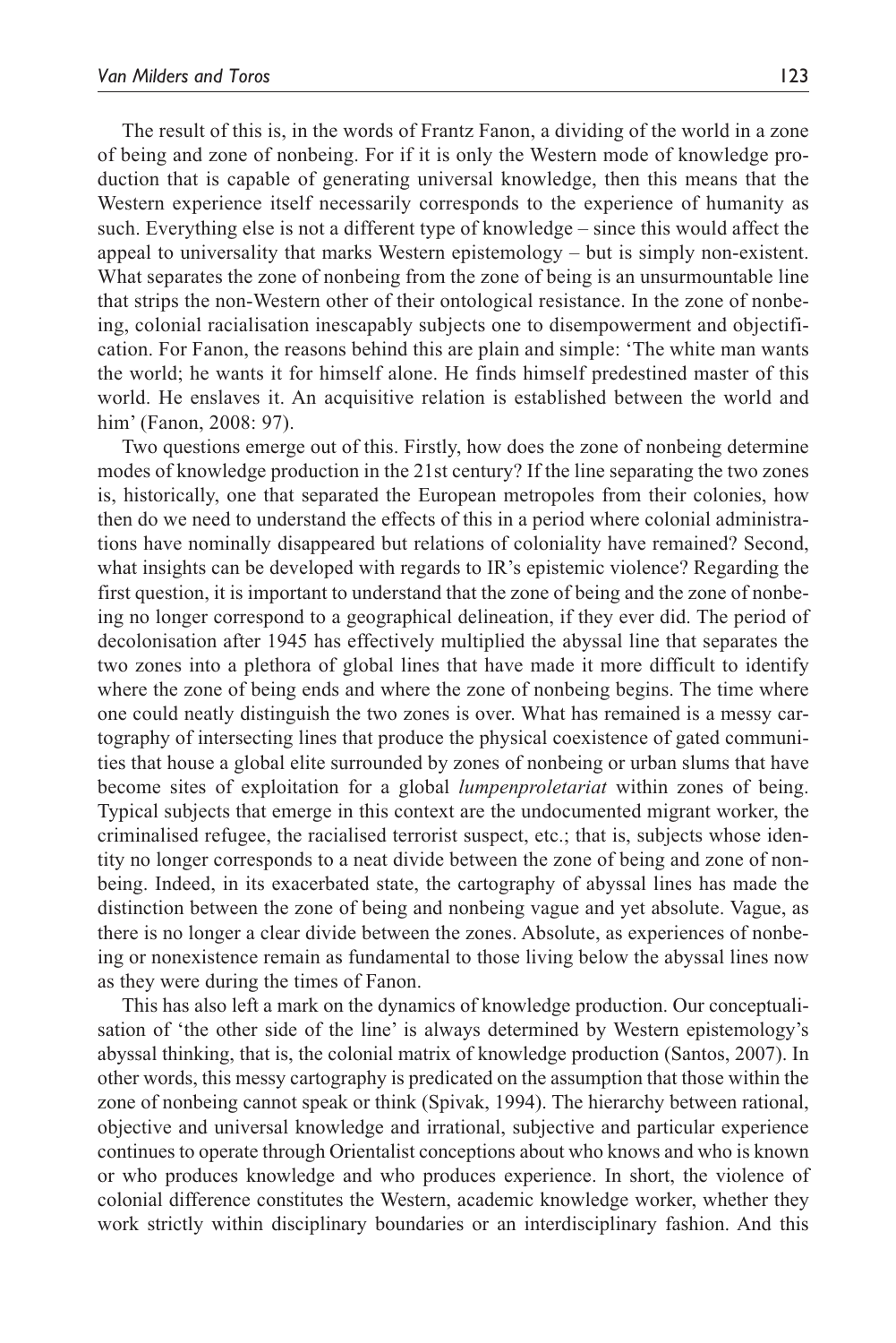The result of this is, in the words of Frantz Fanon, a dividing of the world in a zone of being and zone of nonbeing. For if it is only the Western mode of knowledge production that is capable of generating universal knowledge, then this means that the Western experience itself necessarily corresponds to the experience of humanity as such. Everything else is not a different type of knowledge – since this would affect the appeal to universality that marks Western epistemology – but is simply non-existent. What separates the zone of nonbeing from the zone of being is an unsurmountable line that strips the non-Western other of their ontological resistance. In the zone of nonbeing, colonial racialisation inescapably subjects one to disempowerment and objectification. For Fanon, the reasons behind this are plain and simple: 'The white man wants the world; he wants it for himself alone. He finds himself predestined master of this world. He enslaves it. An acquisitive relation is established between the world and him' (Fanon, 2008: 97).

Two questions emerge out of this. Firstly, how does the zone of nonbeing determine modes of knowledge production in the 21st century? If the line separating the two zones is, historically, one that separated the European metropoles from their colonies, how then do we need to understand the effects of this in a period where colonial administrations have nominally disappeared but relations of coloniality have remained? Second, what insights can be developed with regards to IR's epistemic violence? Regarding the first question, it is important to understand that the zone of being and the zone of nonbeing no longer correspond to a geographical delineation, if they ever did. The period of decolonisation after 1945 has effectively multiplied the abyssal line that separates the two zones into a plethora of global lines that have made it more difficult to identify where the zone of being ends and where the zone of nonbeing begins. The time where one could neatly distinguish the two zones is over. What has remained is a messy cartography of intersecting lines that produce the physical coexistence of gated communities that house a global elite surrounded by zones of nonbeing or urban slums that have become sites of exploitation for a global *lumpenproletariat* within zones of being. Typical subjects that emerge in this context are the undocumented migrant worker, the criminalised refugee, the racialised terrorist suspect, etc.; that is, subjects whose identity no longer corresponds to a neat divide between the zone of being and zone of nonbeing. Indeed, in its exacerbated state, the cartography of abyssal lines has made the distinction between the zone of being and nonbeing vague and yet absolute. Vague, as there is no longer a clear divide between the zones. Absolute, as experiences of nonbeing or nonexistence remain as fundamental to those living below the abyssal lines now as they were during the times of Fanon.

This has also left a mark on the dynamics of knowledge production. Our conceptualisation of 'the other side of the line' is always determined by Western epistemology's abyssal thinking, that is, the colonial matrix of knowledge production (Santos, 2007). In other words, this messy cartography is predicated on the assumption that those within the zone of nonbeing cannot speak or think (Spivak, 1994). The hierarchy between rational, objective and universal knowledge and irrational, subjective and particular experience continues to operate through Orientalist conceptions about who knows and who is known or who produces knowledge and who produces experience. In short, the violence of colonial difference constitutes the Western, academic knowledge worker, whether they work strictly within disciplinary boundaries or an interdisciplinary fashion. And this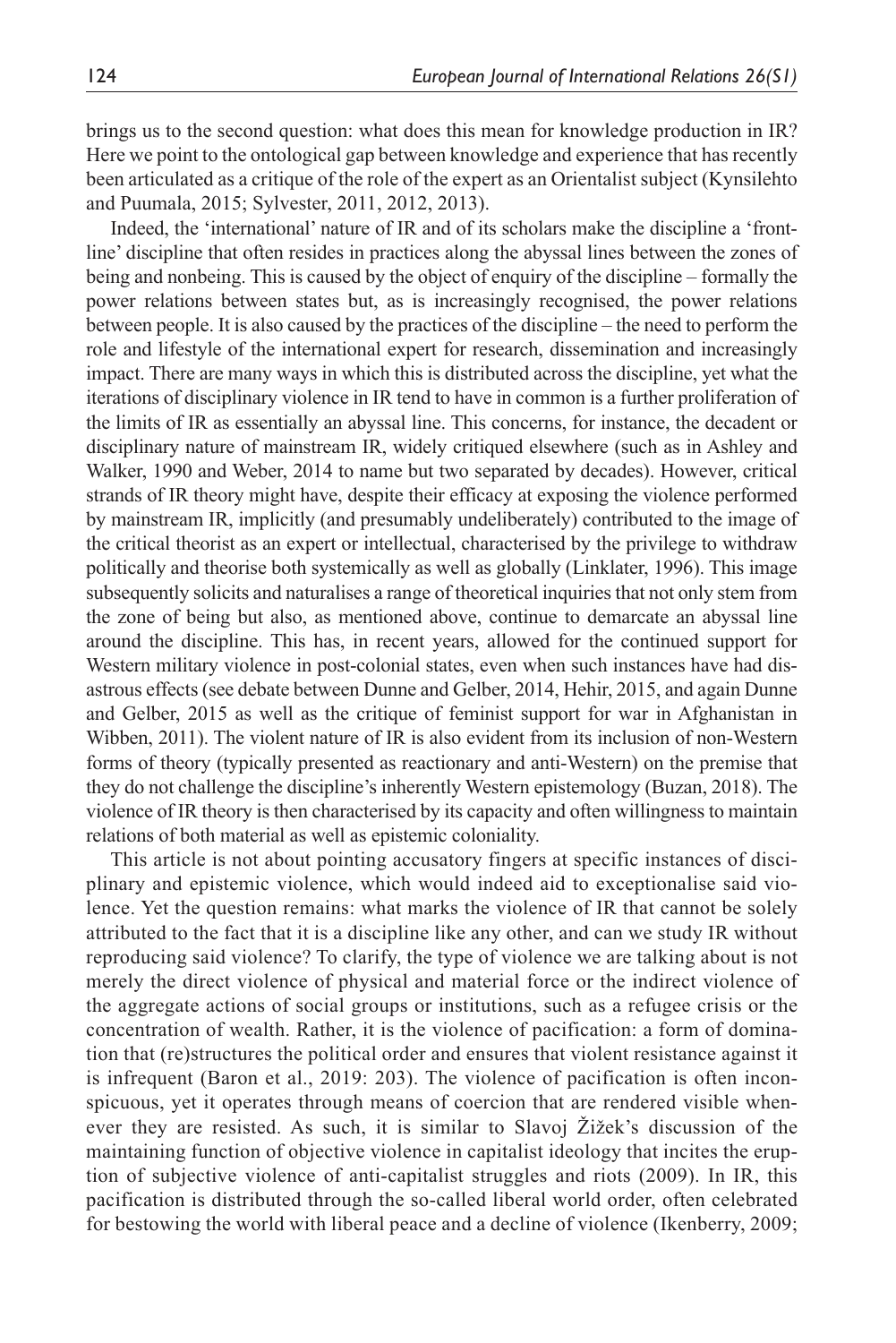brings us to the second question: what does this mean for knowledge production in IR? Here we point to the ontological gap between knowledge and experience that has recently been articulated as a critique of the role of the expert as an Orientalist subject (Kynsilehto and Puumala, 2015; Sylvester, 2011, 2012, 2013).

Indeed, the 'international' nature of IR and of its scholars make the discipline a 'frontline' discipline that often resides in practices along the abyssal lines between the zones of being and nonbeing. This is caused by the object of enquiry of the discipline – formally the power relations between states but, as is increasingly recognised, the power relations between people. It is also caused by the practices of the discipline – the need to perform the role and lifestyle of the international expert for research, dissemination and increasingly impact. There are many ways in which this is distributed across the discipline, yet what the iterations of disciplinary violence in IR tend to have in common is a further proliferation of the limits of IR as essentially an abyssal line. This concerns, for instance, the decadent or disciplinary nature of mainstream IR, widely critiqued elsewhere (such as in Ashley and Walker, 1990 and Weber, 2014 to name but two separated by decades). However, critical strands of IR theory might have, despite their efficacy at exposing the violence performed by mainstream IR, implicitly (and presumably undeliberately) contributed to the image of the critical theorist as an expert or intellectual, characterised by the privilege to withdraw politically and theorise both systemically as well as globally (Linklater, 1996). This image subsequently solicits and naturalises a range of theoretical inquiries that not only stem from the zone of being but also, as mentioned above, continue to demarcate an abyssal line around the discipline. This has, in recent years, allowed for the continued support for Western military violence in post-colonial states, even when such instances have had disastrous effects (see debate between Dunne and Gelber, 2014, Hehir, 2015, and again Dunne and Gelber, 2015 as well as the critique of feminist support for war in Afghanistan in Wibben, 2011). The violent nature of IR is also evident from its inclusion of non-Western forms of theory (typically presented as reactionary and anti-Western) on the premise that they do not challenge the discipline's inherently Western epistemology (Buzan, 2018). The violence of IR theory is then characterised by its capacity and often willingness to maintain relations of both material as well as epistemic coloniality.

This article is not about pointing accusatory fingers at specific instances of disciplinary and epistemic violence, which would indeed aid to exceptionalise said violence. Yet the question remains: what marks the violence of IR that cannot be solely attributed to the fact that it is a discipline like any other, and can we study IR without reproducing said violence? To clarify, the type of violence we are talking about is not merely the direct violence of physical and material force or the indirect violence of the aggregate actions of social groups or institutions, such as a refugee crisis or the concentration of wealth. Rather, it is the violence of pacification: a form of domination that (re)structures the political order and ensures that violent resistance against it is infrequent (Baron et al., 2019: 203). The violence of pacification is often inconspicuous, yet it operates through means of coercion that are rendered visible whenever they are resisted. As such, it is similar to Slavoj Žižek's discussion of the maintaining function of objective violence in capitalist ideology that incites the eruption of subjective violence of anti-capitalist struggles and riots (2009). In IR, this pacification is distributed through the so-called liberal world order, often celebrated for bestowing the world with liberal peace and a decline of violence (Ikenberry, 2009;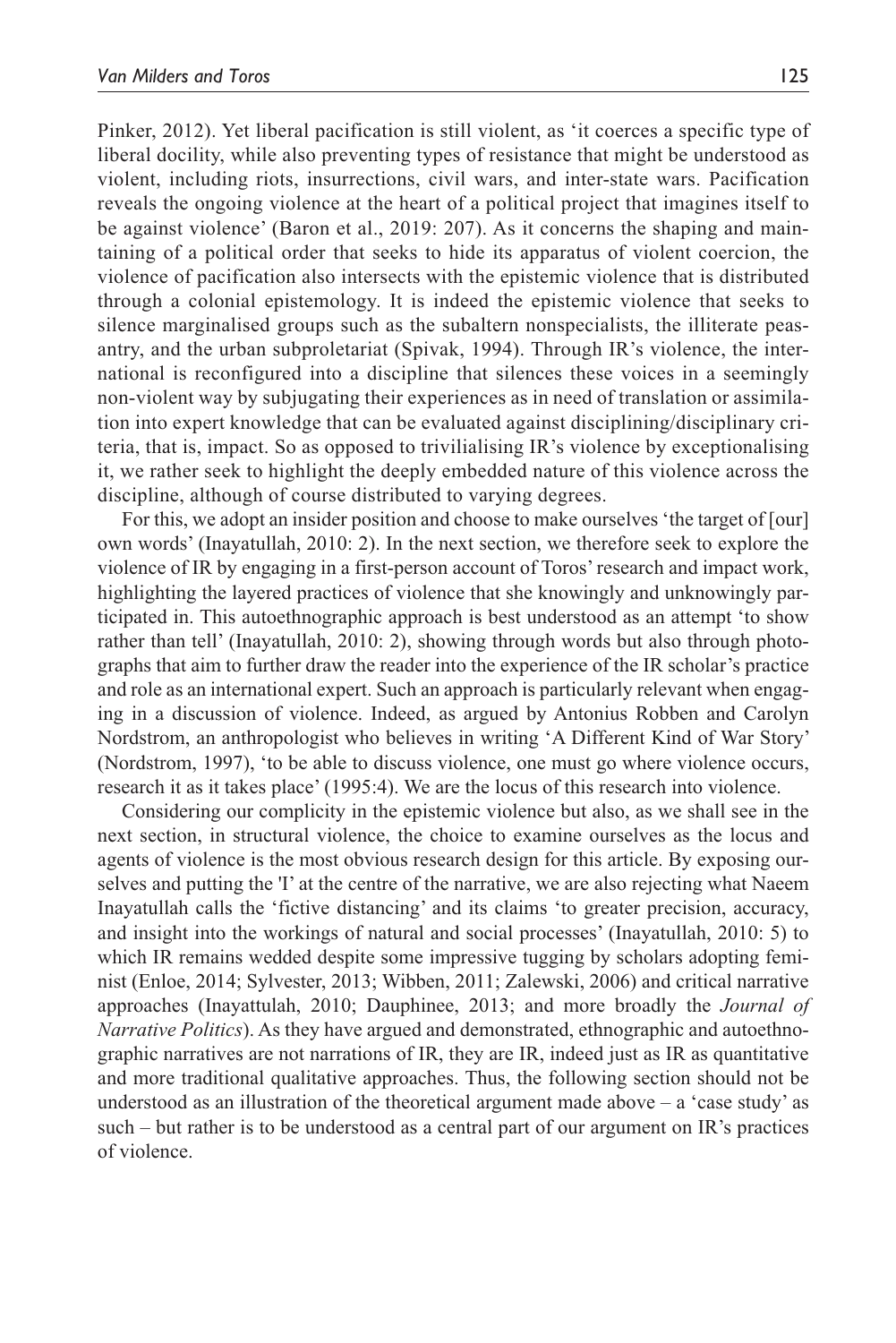Pinker, 2012). Yet liberal pacification is still violent, as 'it coerces a specific type of liberal docility, while also preventing types of resistance that might be understood as violent, including riots, insurrections, civil wars, and inter-state wars. Pacification reveals the ongoing violence at the heart of a political project that imagines itself to be against violence' (Baron et al., 2019: 207). As it concerns the shaping and maintaining of a political order that seeks to hide its apparatus of violent coercion, the violence of pacification also intersects with the epistemic violence that is distributed through a colonial epistemology. It is indeed the epistemic violence that seeks to silence marginalised groups such as the subaltern nonspecialists, the illiterate peasantry, and the urban subproletariat (Spivak, 1994). Through IR's violence, the international is reconfigured into a discipline that silences these voices in a seemingly non-violent way by subjugating their experiences as in need of translation or assimilation into expert knowledge that can be evaluated against disciplining/disciplinary criteria, that is, impact. So as opposed to trivilialising IR's violence by exceptionalising it, we rather seek to highlight the deeply embedded nature of this violence across the discipline, although of course distributed to varying degrees.

For this, we adopt an insider position and choose to make ourselves 'the target of [our] own words' (Inayatullah, 2010: 2). In the next section, we therefore seek to explore the violence of IR by engaging in a first-person account of Toros' research and impact work, highlighting the layered practices of violence that she knowingly and unknowingly participated in. This autoethnographic approach is best understood as an attempt 'to show rather than tell' (Inayatullah, 2010: 2), showing through words but also through photographs that aim to further draw the reader into the experience of the IR scholar's practice and role as an international expert. Such an approach is particularly relevant when engaging in a discussion of violence. Indeed, as argued by Antonius Robben and Carolyn Nordstrom, an anthropologist who believes in writing 'A Different Kind of War Story' (Nordstrom, 1997), 'to be able to discuss violence, one must go where violence occurs, research it as it takes place' (1995:4). We are the locus of this research into violence.

Considering our complicity in the epistemic violence but also, as we shall see in the next section, in structural violence, the choice to examine ourselves as the locus and agents of violence is the most obvious research design for this article. By exposing ourselves and putting the 'I' at the centre of the narrative, we are also rejecting what Naeem Inayatullah calls the 'fictive distancing' and its claims 'to greater precision, accuracy, and insight into the workings of natural and social processes' (Inayatullah, 2010: 5) to which IR remains wedded despite some impressive tugging by scholars adopting feminist (Enloe, 2014; Sylvester, 2013; Wibben, 2011; Zalewski, 2006) and critical narrative approaches (Inayattulah, 2010; Dauphinee, 2013; and more broadly the *Journal of Narrative Politics*). As they have argued and demonstrated, ethnographic and autoethnographic narratives are not narrations of IR, they are IR, indeed just as IR as quantitative and more traditional qualitative approaches. Thus, the following section should not be understood as an illustration of the theoretical argument made above  $-$  a 'case study' as such – but rather is to be understood as a central part of our argument on IR's practices of violence.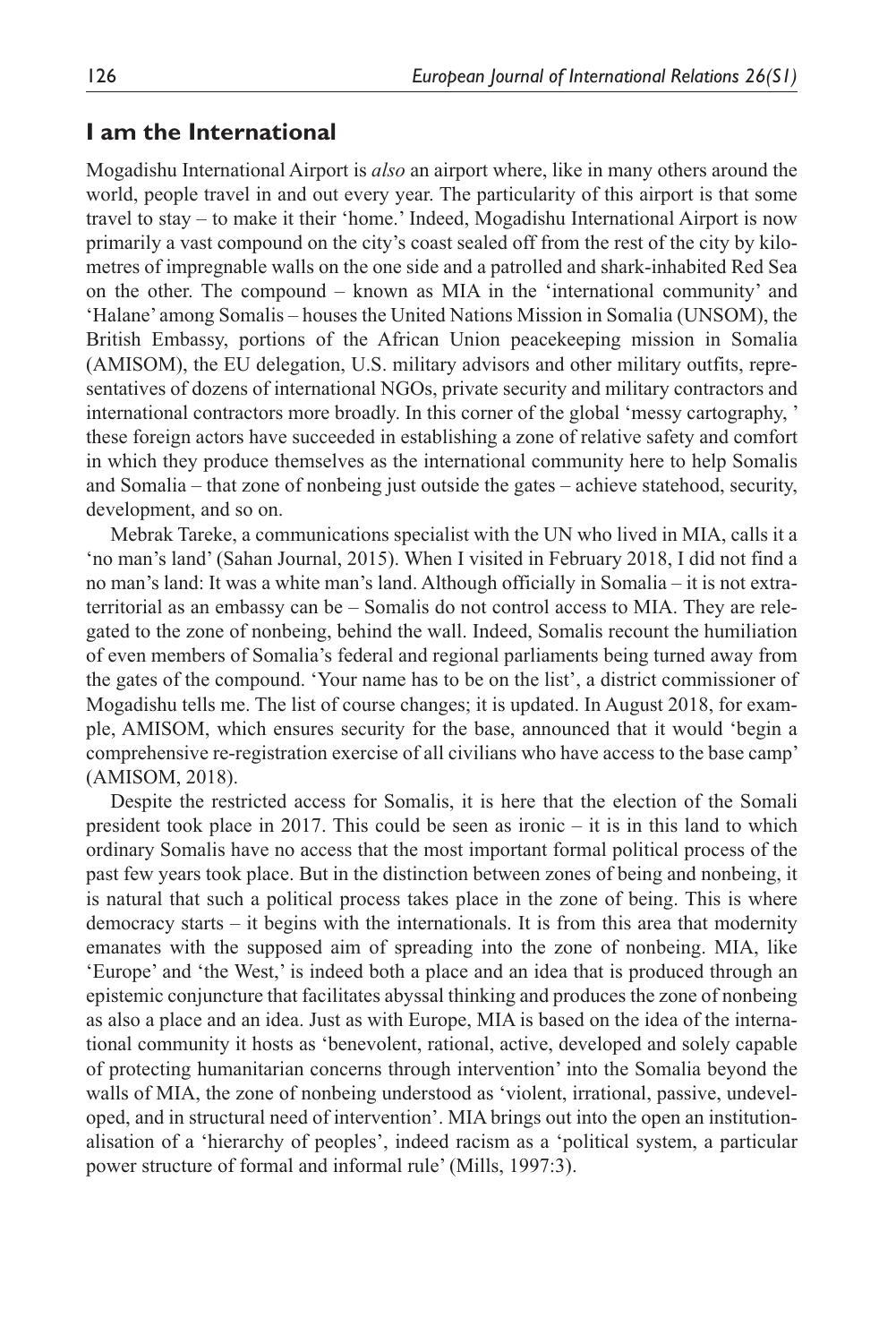#### **I am the International**

Mogadishu International Airport is *also* an airport where, like in many others around the world, people travel in and out every year. The particularity of this airport is that some travel to stay – to make it their 'home.' Indeed, Mogadishu International Airport is now primarily a vast compound on the city's coast sealed off from the rest of the city by kilometres of impregnable walls on the one side and a patrolled and shark-inhabited Red Sea on the other. The compound – known as MIA in the 'international community' and 'Halane' among Somalis – houses the United Nations Mission in Somalia (UNSOM), the British Embassy, portions of the African Union peacekeeping mission in Somalia (AMISOM), the EU delegation, U.S. military advisors and other military outfits, representatives of dozens of international NGOs, private security and military contractors and international contractors more broadly. In this corner of the global 'messy cartography, ' these foreign actors have succeeded in establishing a zone of relative safety and comfort in which they produce themselves as the international community here to help Somalis and Somalia – that zone of nonbeing just outside the gates – achieve statehood, security, development, and so on.

Mebrak Tareke, a communications specialist with the UN who lived in MIA, calls it a 'no man's land' (Sahan Journal, 2015). When I visited in February 2018, I did not find a no man's land: It was a white man's land. Although officially in Somalia – it is not extraterritorial as an embassy can be – Somalis do not control access to MIA. They are relegated to the zone of nonbeing, behind the wall. Indeed, Somalis recount the humiliation of even members of Somalia's federal and regional parliaments being turned away from the gates of the compound. 'Your name has to be on the list', a district commissioner of Mogadishu tells me. The list of course changes; it is updated. In August 2018, for example, AMISOM, which ensures security for the base, announced that it would 'begin a comprehensive re-registration exercise of all civilians who have access to the base camp' (AMISOM, 2018).

Despite the restricted access for Somalis, it is here that the election of the Somali president took place in 2017. This could be seen as ironic – it is in this land to which ordinary Somalis have no access that the most important formal political process of the past few years took place. But in the distinction between zones of being and nonbeing, it is natural that such a political process takes place in the zone of being. This is where democracy starts – it begins with the internationals. It is from this area that modernity emanates with the supposed aim of spreading into the zone of nonbeing. MIA, like 'Europe' and 'the West,' is indeed both a place and an idea that is produced through an epistemic conjuncture that facilitates abyssal thinking and produces the zone of nonbeing as also a place and an idea. Just as with Europe, MIA is based on the idea of the international community it hosts as 'benevolent, rational, active, developed and solely capable of protecting humanitarian concerns through intervention' into the Somalia beyond the walls of MIA, the zone of nonbeing understood as 'violent, irrational, passive, undeveloped, and in structural need of intervention'. MIA brings out into the open an institutionalisation of a 'hierarchy of peoples', indeed racism as a 'political system, a particular power structure of formal and informal rule' (Mills, 1997:3).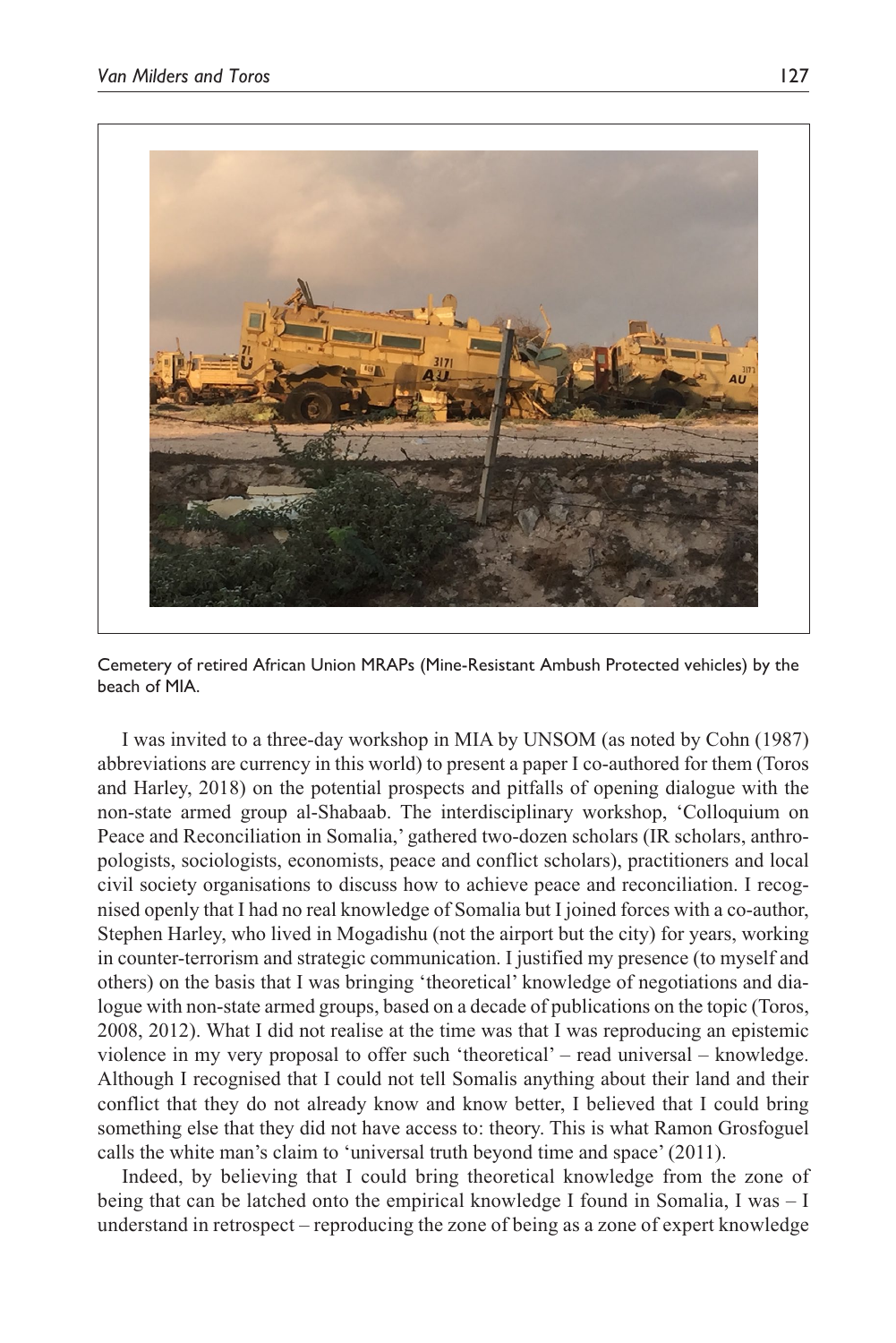

Cemetery of retired African Union MRAPs (Mine-Resistant Ambush Protected vehicles) by the beach of MIA.

I was invited to a three-day workshop in MIA by UNSOM (as noted by Cohn (1987) abbreviations are currency in this world) to present a paper I co-authored for them (Toros and Harley, 2018) on the potential prospects and pitfalls of opening dialogue with the non-state armed group al-Shabaab. The interdisciplinary workshop, 'Colloquium on Peace and Reconciliation in Somalia,' gathered two-dozen scholars (IR scholars, anthropologists, sociologists, economists, peace and conflict scholars), practitioners and local civil society organisations to discuss how to achieve peace and reconciliation. I recognised openly that I had no real knowledge of Somalia but I joined forces with a co-author, Stephen Harley, who lived in Mogadishu (not the airport but the city) for years, working in counter-terrorism and strategic communication. I justified my presence (to myself and others) on the basis that I was bringing 'theoretical' knowledge of negotiations and dialogue with non-state armed groups, based on a decade of publications on the topic (Toros, 2008, 2012). What I did not realise at the time was that I was reproducing an epistemic violence in my very proposal to offer such 'theoretical' – read universal – knowledge. Although I recognised that I could not tell Somalis anything about their land and their conflict that they do not already know and know better, I believed that I could bring something else that they did not have access to: theory. This is what Ramon Grosfoguel calls the white man's claim to 'universal truth beyond time and space' (2011).

Indeed, by believing that I could bring theoretical knowledge from the zone of being that can be latched onto the empirical knowledge I found in Somalia, I was – I understand in retrospect – reproducing the zone of being as a zone of expert knowledge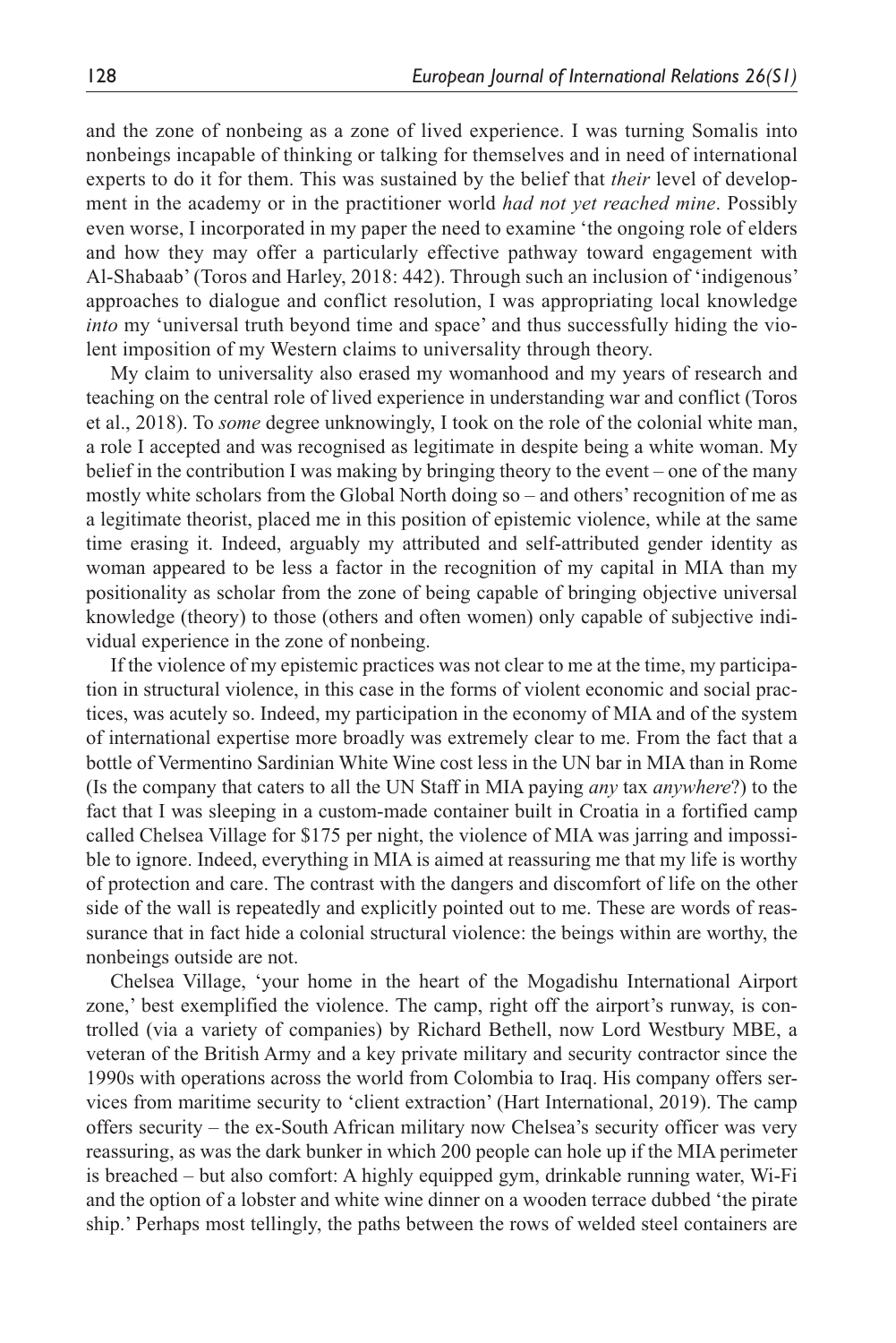and the zone of nonbeing as a zone of lived experience. I was turning Somalis into nonbeings incapable of thinking or talking for themselves and in need of international experts to do it for them. This was sustained by the belief that *their* level of development in the academy or in the practitioner world *had not yet reached mine*. Possibly even worse, I incorporated in my paper the need to examine 'the ongoing role of elders and how they may offer a particularly effective pathway toward engagement with Al-Shabaab' (Toros and Harley, 2018: 442). Through such an inclusion of 'indigenous' approaches to dialogue and conflict resolution, I was appropriating local knowledge *into* my 'universal truth beyond time and space' and thus successfully hiding the violent imposition of my Western claims to universality through theory.

My claim to universality also erased my womanhood and my years of research and teaching on the central role of lived experience in understanding war and conflict (Toros et al., 2018). To *some* degree unknowingly, I took on the role of the colonial white man, a role I accepted and was recognised as legitimate in despite being a white woman. My belief in the contribution I was making by bringing theory to the event – one of the many mostly white scholars from the Global North doing so – and others' recognition of me as a legitimate theorist, placed me in this position of epistemic violence, while at the same time erasing it. Indeed, arguably my attributed and self-attributed gender identity as woman appeared to be less a factor in the recognition of my capital in MIA than my positionality as scholar from the zone of being capable of bringing objective universal knowledge (theory) to those (others and often women) only capable of subjective individual experience in the zone of nonbeing.

If the violence of my epistemic practices was not clear to me at the time, my participation in structural violence, in this case in the forms of violent economic and social practices, was acutely so. Indeed, my participation in the economy of MIA and of the system of international expertise more broadly was extremely clear to me. From the fact that a bottle of Vermentino Sardinian White Wine cost less in the UN bar in MIA than in Rome (Is the company that caters to all the UN Staff in MIA paying *any* tax *anywhere*?) to the fact that I was sleeping in a custom-made container built in Croatia in a fortified camp called Chelsea Village for \$175 per night, the violence of MIA was jarring and impossible to ignore. Indeed, everything in MIA is aimed at reassuring me that my life is worthy of protection and care. The contrast with the dangers and discomfort of life on the other side of the wall is repeatedly and explicitly pointed out to me. These are words of reassurance that in fact hide a colonial structural violence: the beings within are worthy, the nonbeings outside are not.

Chelsea Village, 'your home in the heart of the Mogadishu International Airport zone,' best exemplified the violence. The camp, right off the airport's runway, is controlled (via a variety of companies) by Richard Bethell, now Lord Westbury MBE, a veteran of the British Army and a key private military and security contractor since the 1990s with operations across the world from Colombia to Iraq. His company offers services from maritime security to 'client extraction' (Hart International, 2019). The camp offers security – the ex-South African military now Chelsea's security officer was very reassuring, as was the dark bunker in which 200 people can hole up if the MIA perimeter is breached – but also comfort: A highly equipped gym, drinkable running water, Wi-Fi and the option of a lobster and white wine dinner on a wooden terrace dubbed 'the pirate ship.' Perhaps most tellingly, the paths between the rows of welded steel containers are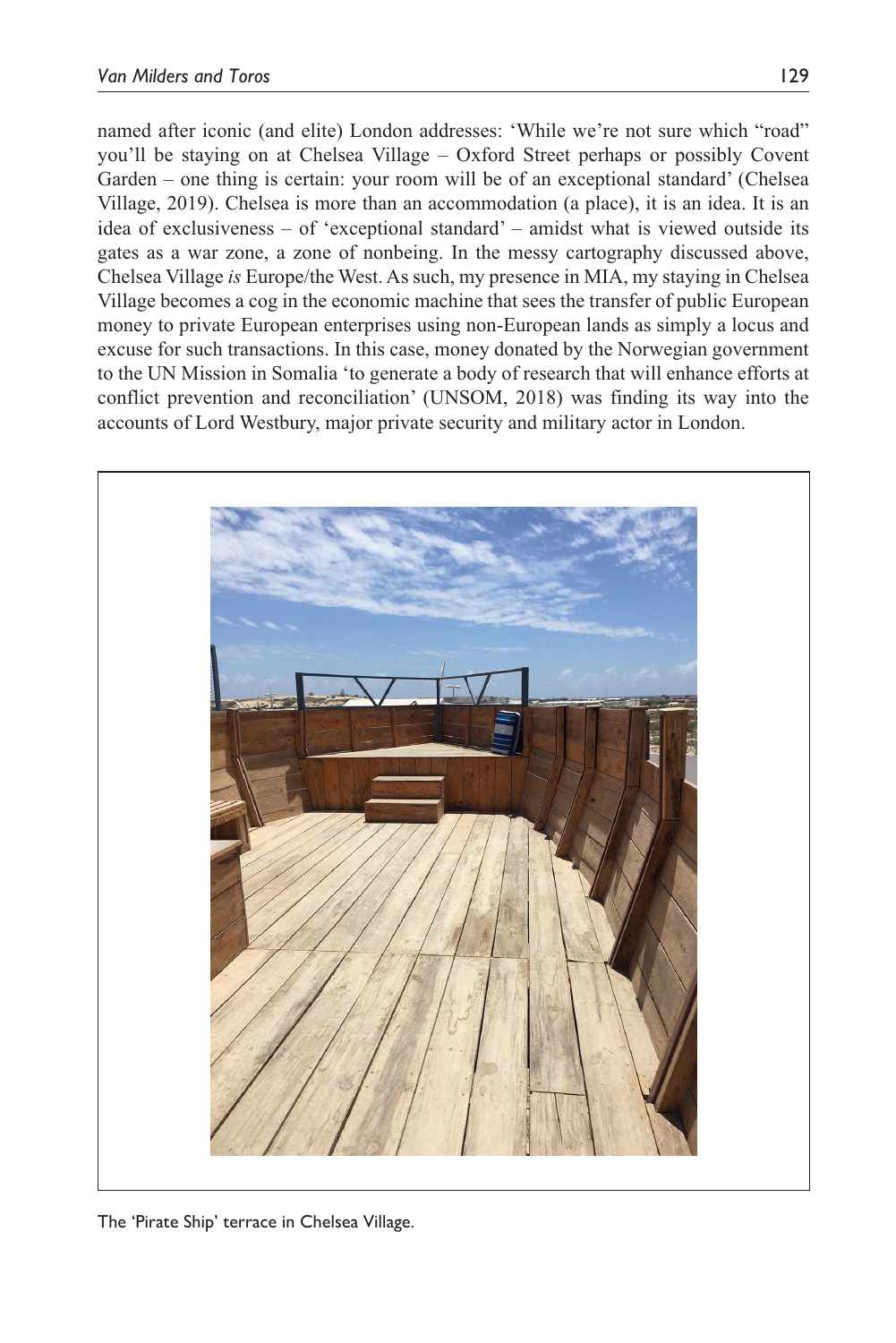named after iconic (and elite) London addresses: 'While we're not sure which "road" you'll be staying on at Chelsea Village – Oxford Street perhaps or possibly Covent Garden – one thing is certain: your room will be of an exceptional standard' (Chelsea Village, 2019). Chelsea is more than an accommodation (a place), it is an idea. It is an idea of exclusiveness – of 'exceptional standard' – amidst what is viewed outside its gates as a war zone, a zone of nonbeing. In the messy cartography discussed above, Chelsea Village *is* Europe/the West. As such, my presence in MIA, my staying in Chelsea Village becomes a cog in the economic machine that sees the transfer of public European money to private European enterprises using non-European lands as simply a locus and excuse for such transactions. In this case, money donated by the Norwegian government to the UN Mission in Somalia 'to generate a body of research that will enhance efforts at conflict prevention and reconciliation' (UNSOM, 2018) was finding its way into the accounts of Lord Westbury, major private security and military actor in London.



The 'Pirate Ship' terrace in Chelsea Village.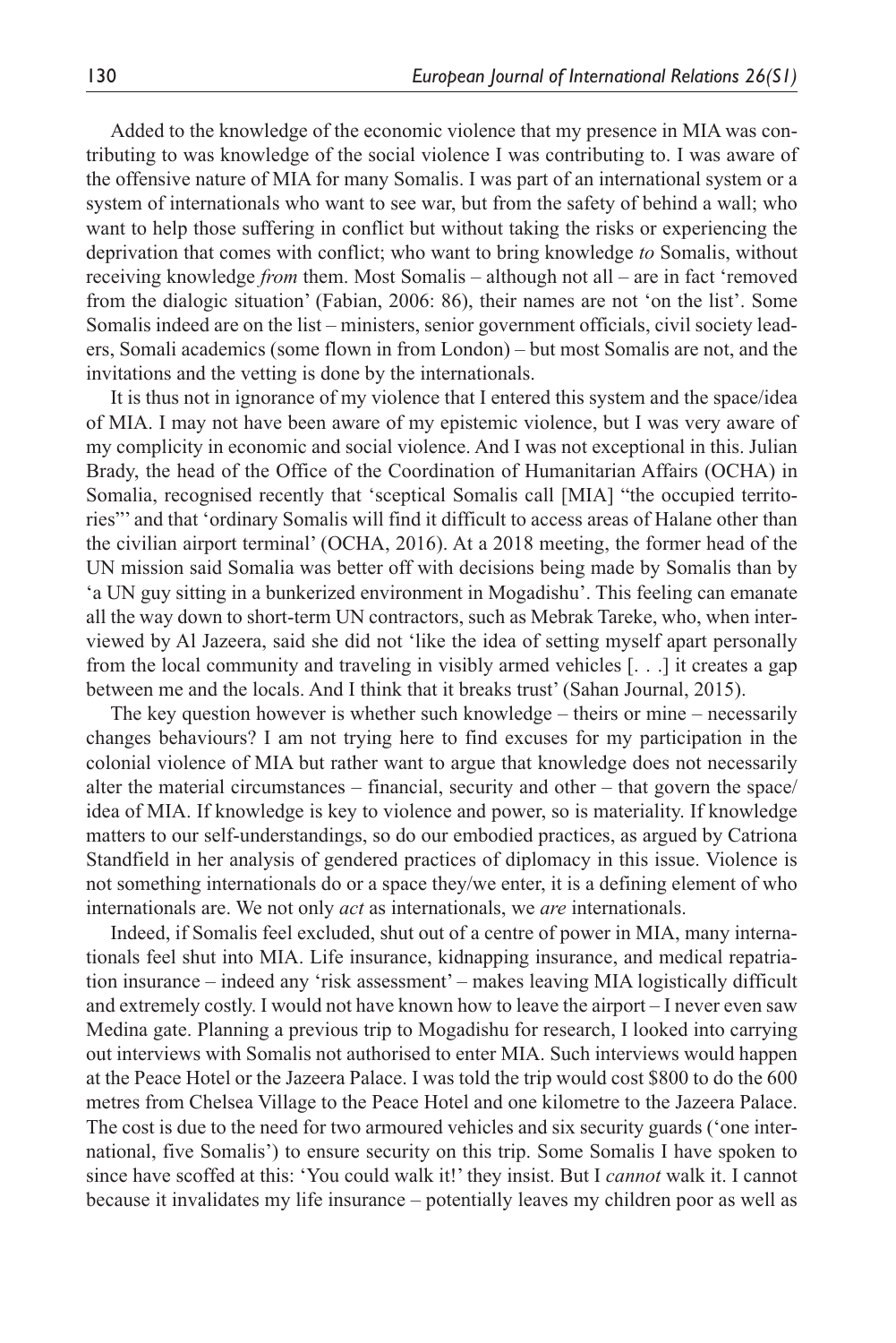Added to the knowledge of the economic violence that my presence in MIA was contributing to was knowledge of the social violence I was contributing to. I was aware of the offensive nature of MIA for many Somalis. I was part of an international system or a system of internationals who want to see war, but from the safety of behind a wall; who want to help those suffering in conflict but without taking the risks or experiencing the deprivation that comes with conflict; who want to bring knowledge *to* Somalis, without receiving knowledge *from* them. Most Somalis – although not all – are in fact 'removed from the dialogic situation' (Fabian, 2006: 86), their names are not 'on the list'. Some Somalis indeed are on the list – ministers, senior government officials, civil society leaders, Somali academics (some flown in from London) – but most Somalis are not, and the invitations and the vetting is done by the internationals.

It is thus not in ignorance of my violence that I entered this system and the space/idea of MIA. I may not have been aware of my epistemic violence, but I was very aware of my complicity in economic and social violence. And I was not exceptional in this. Julian Brady, the head of the Office of the Coordination of Humanitarian Affairs (OCHA) in Somalia, recognised recently that 'sceptical Somalis call [MIA] "the occupied territories"' and that 'ordinary Somalis will find it difficult to access areas of Halane other than the civilian airport terminal' (OCHA, 2016). At a 2018 meeting, the former head of the UN mission said Somalia was better off with decisions being made by Somalis than by 'a UN guy sitting in a bunkerized environment in Mogadishu'. This feeling can emanate all the way down to short-term UN contractors, such as Mebrak Tareke, who, when interviewed by Al Jazeera, said she did not 'like the idea of setting myself apart personally from the local community and traveling in visibly armed vehicles [. . .] it creates a gap between me and the locals. And I think that it breaks trust' (Sahan Journal, 2015).

The key question however is whether such knowledge – theirs or mine – necessarily changes behaviours? I am not trying here to find excuses for my participation in the colonial violence of MIA but rather want to argue that knowledge does not necessarily alter the material circumstances – financial, security and other – that govern the space/ idea of MIA. If knowledge is key to violence and power, so is materiality. If knowledge matters to our self-understandings, so do our embodied practices, as argued by Catriona Standfield in her analysis of gendered practices of diplomacy in this issue. Violence is not something internationals do or a space they/we enter, it is a defining element of who internationals are. We not only *act* as internationals, we *are* internationals.

Indeed, if Somalis feel excluded, shut out of a centre of power in MIA, many internationals feel shut into MIA. Life insurance, kidnapping insurance, and medical repatriation insurance – indeed any 'risk assessment' – makes leaving MIA logistically difficult and extremely costly. I would not have known how to leave the airport – I never even saw Medina gate. Planning a previous trip to Mogadishu for research, I looked into carrying out interviews with Somalis not authorised to enter MIA. Such interviews would happen at the Peace Hotel or the Jazeera Palace. I was told the trip would cost \$800 to do the 600 metres from Chelsea Village to the Peace Hotel and one kilometre to the Jazeera Palace. The cost is due to the need for two armoured vehicles and six security guards ('one international, five Somalis') to ensure security on this trip. Some Somalis I have spoken to since have scoffed at this: 'You could walk it!' they insist. But I *cannot* walk it. I cannot because it invalidates my life insurance – potentially leaves my children poor as well as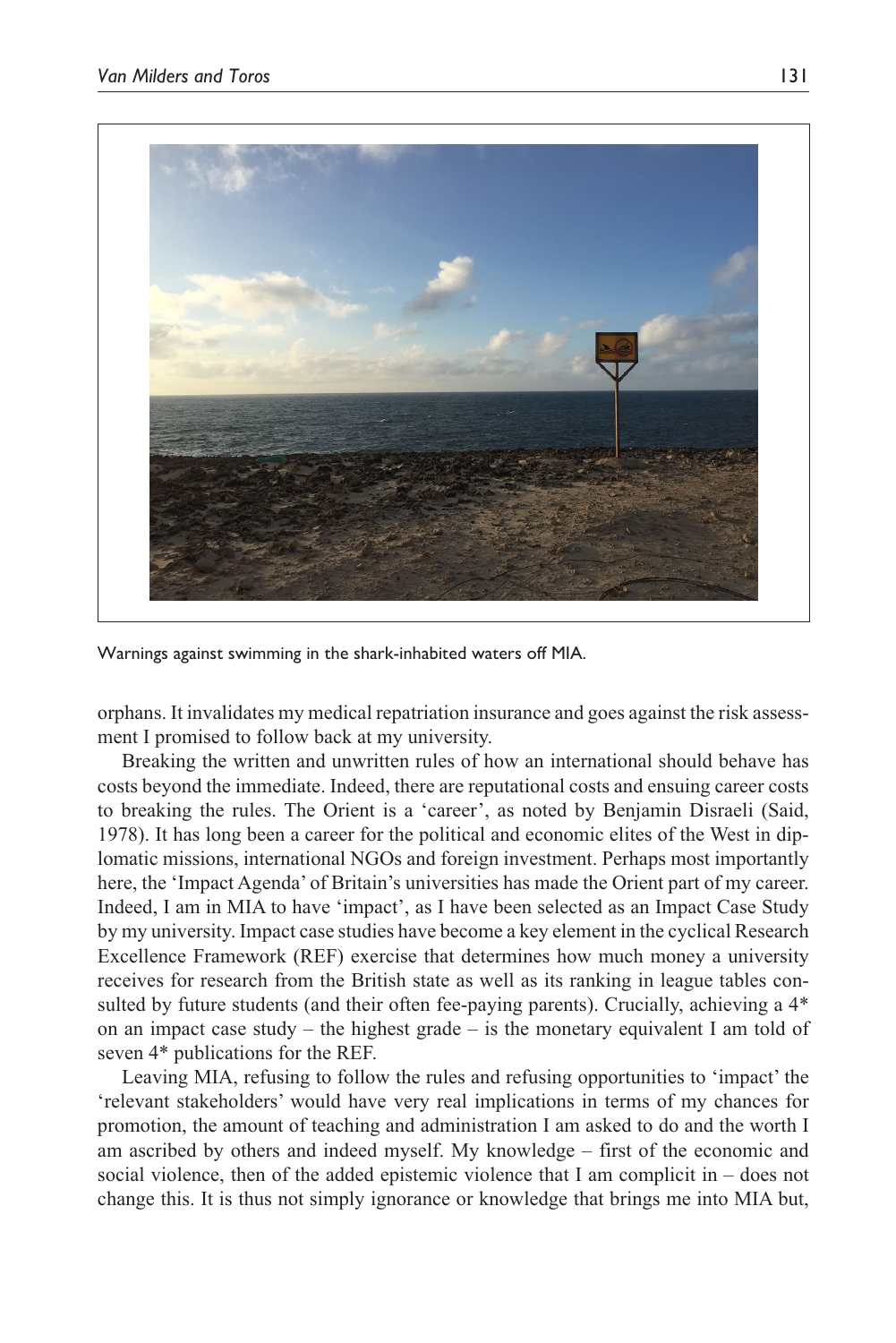

Warnings against swimming in the shark-inhabited waters off MIA.

orphans. It invalidates my medical repatriation insurance and goes against the risk assessment I promised to follow back at my university.

Breaking the written and unwritten rules of how an international should behave has costs beyond the immediate. Indeed, there are reputational costs and ensuing career costs to breaking the rules. The Orient is a 'career', as noted by Benjamin Disraeli (Said, 1978). It has long been a career for the political and economic elites of the West in diplomatic missions, international NGOs and foreign investment. Perhaps most importantly here, the 'Impact Agenda' of Britain's universities has made the Orient part of my career. Indeed, I am in MIA to have 'impact', as I have been selected as an Impact Case Study by my university. Impact case studies have become a key element in the cyclical Research Excellence Framework (REF) exercise that determines how much money a university receives for research from the British state as well as its ranking in league tables consulted by future students (and their often fee-paying parents). Crucially, achieving a 4\* on an impact case study – the highest grade – is the monetary equivalent I am told of seven 4\* publications for the REF.

Leaving MIA, refusing to follow the rules and refusing opportunities to 'impact' the 'relevant stakeholders' would have very real implications in terms of my chances for promotion, the amount of teaching and administration I am asked to do and the worth I am ascribed by others and indeed myself. My knowledge – first of the economic and social violence, then of the added epistemic violence that I am complicit in – does not change this. It is thus not simply ignorance or knowledge that brings me into MIA but,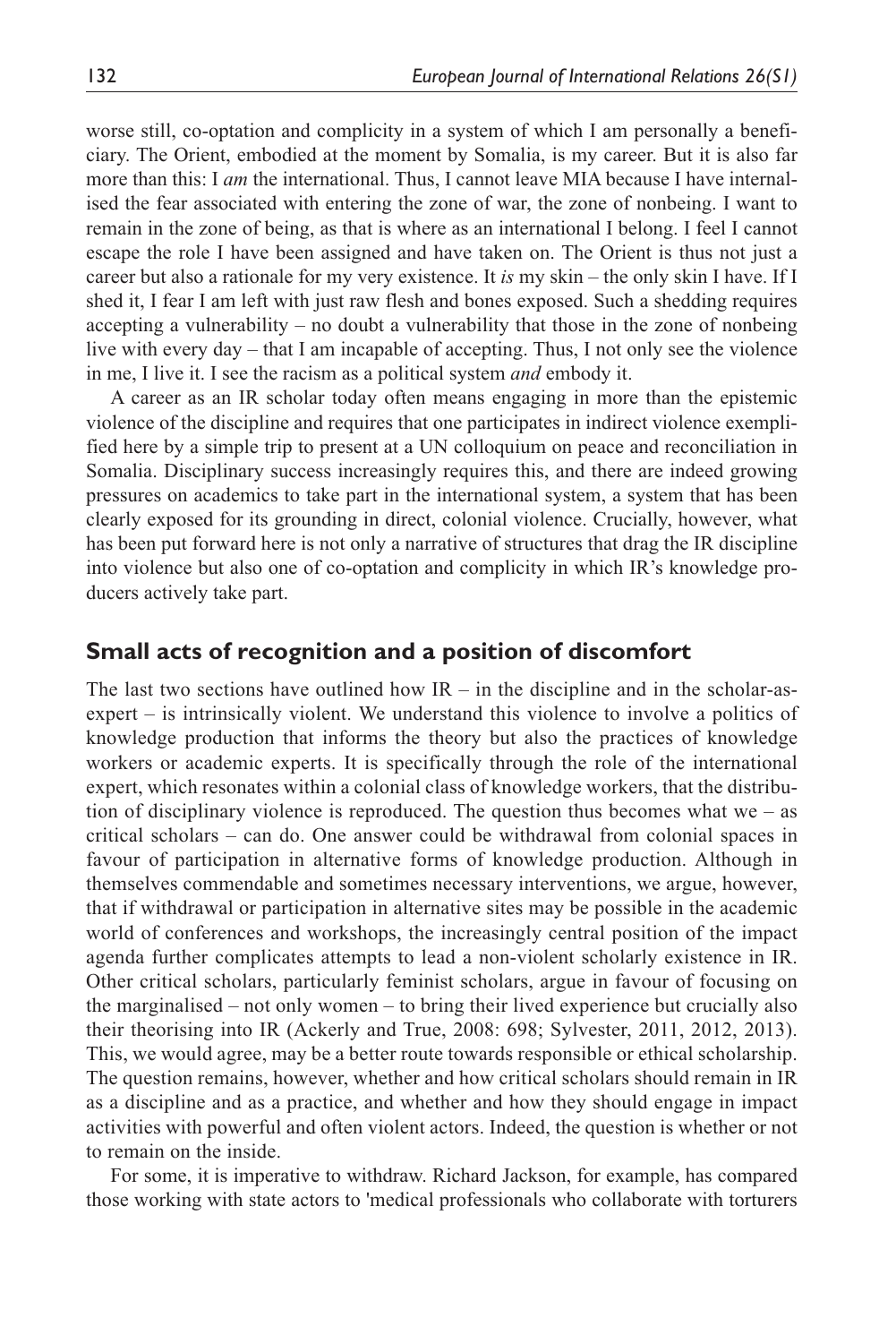worse still, co-optation and complicity in a system of which I am personally a beneficiary. The Orient, embodied at the moment by Somalia, is my career. But it is also far more than this: I *am* the international. Thus, I cannot leave MIA because I have internalised the fear associated with entering the zone of war, the zone of nonbeing. I want to remain in the zone of being, as that is where as an international I belong. I feel I cannot escape the role I have been assigned and have taken on. The Orient is thus not just a career but also a rationale for my very existence. It *is* my skin – the only skin I have. If I shed it, I fear I am left with just raw flesh and bones exposed. Such a shedding requires accepting a vulnerability – no doubt a vulnerability that those in the zone of nonbeing live with every day – that I am incapable of accepting. Thus, I not only see the violence in me, I live it. I see the racism as a political system *and* embody it.

A career as an IR scholar today often means engaging in more than the epistemic violence of the discipline and requires that one participates in indirect violence exemplified here by a simple trip to present at a UN colloquium on peace and reconciliation in Somalia. Disciplinary success increasingly requires this, and there are indeed growing pressures on academics to take part in the international system, a system that has been clearly exposed for its grounding in direct, colonial violence. Crucially, however, what has been put forward here is not only a narrative of structures that drag the IR discipline into violence but also one of co-optation and complicity in which IR's knowledge producers actively take part.

#### **Small acts of recognition and a position of discomfort**

The last two sections have outlined how  $IR - in$  the discipline and in the scholar-asexpert – is intrinsically violent. We understand this violence to involve a politics of knowledge production that informs the theory but also the practices of knowledge workers or academic experts. It is specifically through the role of the international expert, which resonates within a colonial class of knowledge workers, that the distribution of disciplinary violence is reproduced. The question thus becomes what we – as critical scholars – can do. One answer could be withdrawal from colonial spaces in favour of participation in alternative forms of knowledge production. Although in themselves commendable and sometimes necessary interventions, we argue, however, that if withdrawal or participation in alternative sites may be possible in the academic world of conferences and workshops, the increasingly central position of the impact agenda further complicates attempts to lead a non-violent scholarly existence in IR. Other critical scholars, particularly feminist scholars, argue in favour of focusing on the marginalised – not only women – to bring their lived experience but crucially also their theorising into IR (Ackerly and True, 2008: 698; Sylvester, 2011, 2012, 2013). This, we would agree, may be a better route towards responsible or ethical scholarship. The question remains, however, whether and how critical scholars should remain in IR as a discipline and as a practice, and whether and how they should engage in impact activities with powerful and often violent actors. Indeed, the question is whether or not to remain on the inside.

For some, it is imperative to withdraw. Richard Jackson, for example, has compared those working with state actors to 'medical professionals who collaborate with torturers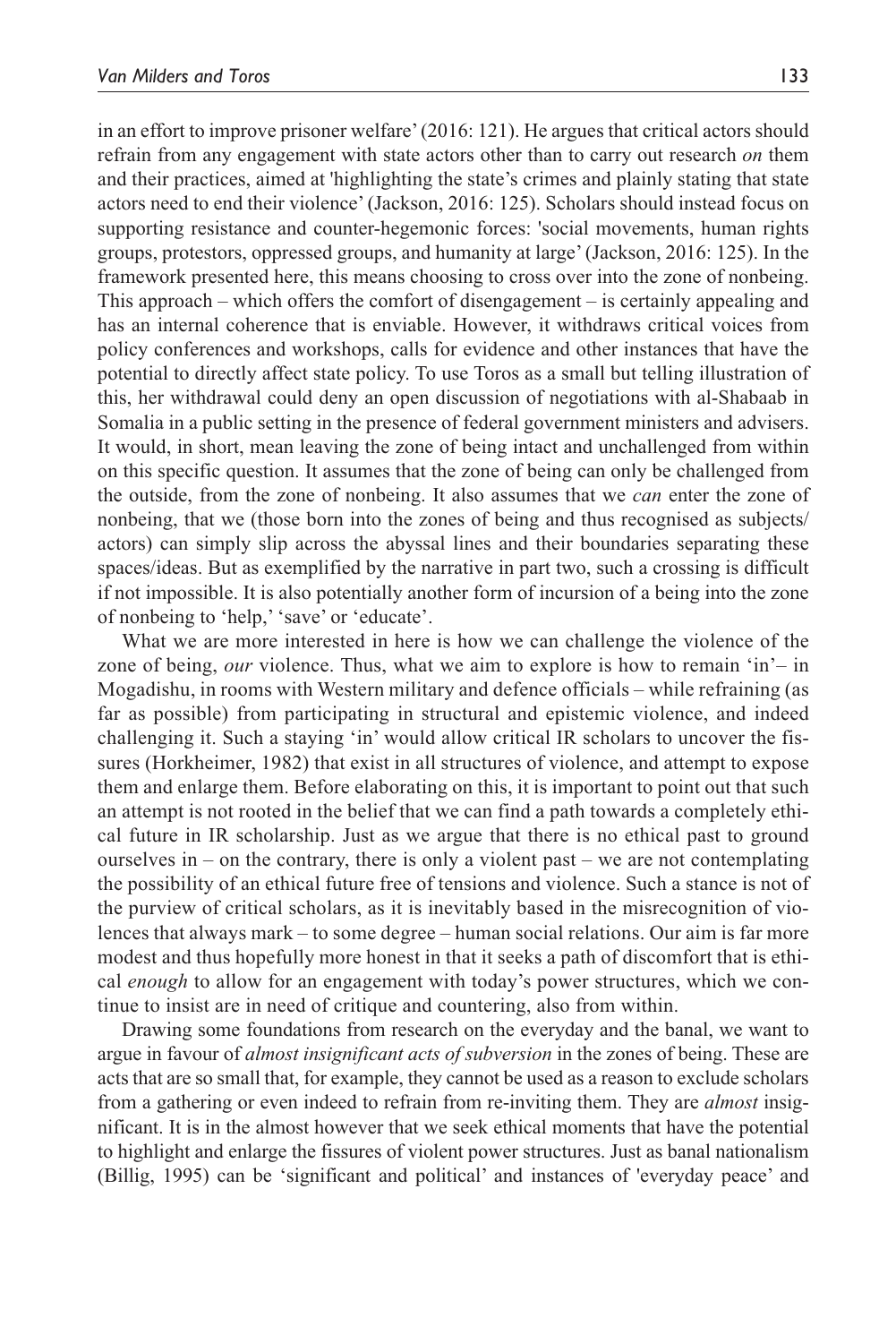in an effort to improve prisoner welfare' (2016: 121). He argues that critical actors should refrain from any engagement with state actors other than to carry out research *on* them and their practices, aimed at 'highlighting the state's crimes and plainly stating that state actors need to end their violence' (Jackson, 2016: 125). Scholars should instead focus on supporting resistance and counter-hegemonic forces: 'social movements, human rights groups, protestors, oppressed groups, and humanity at large' (Jackson, 2016: 125). In the framework presented here, this means choosing to cross over into the zone of nonbeing. This approach – which offers the comfort of disengagement – is certainly appealing and has an internal coherence that is enviable. However, it withdraws critical voices from policy conferences and workshops, calls for evidence and other instances that have the potential to directly affect state policy. To use Toros as a small but telling illustration of this, her withdrawal could deny an open discussion of negotiations with al-Shabaab in Somalia in a public setting in the presence of federal government ministers and advisers. It would, in short, mean leaving the zone of being intact and unchallenged from within on this specific question. It assumes that the zone of being can only be challenged from the outside, from the zone of nonbeing. It also assumes that we *can* enter the zone of nonbeing, that we (those born into the zones of being and thus recognised as subjects/ actors) can simply slip across the abyssal lines and their boundaries separating these spaces/ideas. But as exemplified by the narrative in part two, such a crossing is difficult if not impossible. It is also potentially another form of incursion of a being into the zone of nonbeing to 'help,' 'save' or 'educate'.

What we are more interested in here is how we can challenge the violence of the zone of being, *our* violence. Thus, what we aim to explore is how to remain 'in'– in Mogadishu, in rooms with Western military and defence officials – while refraining (as far as possible) from participating in structural and epistemic violence, and indeed challenging it. Such a staying 'in' would allow critical IR scholars to uncover the fissures (Horkheimer, 1982) that exist in all structures of violence, and attempt to expose them and enlarge them. Before elaborating on this, it is important to point out that such an attempt is not rooted in the belief that we can find a path towards a completely ethical future in IR scholarship. Just as we argue that there is no ethical past to ground ourselves in – on the contrary, there is only a violent past – we are not contemplating the possibility of an ethical future free of tensions and violence. Such a stance is not of the purview of critical scholars, as it is inevitably based in the misrecognition of violences that always mark – to some degree – human social relations. Our aim is far more modest and thus hopefully more honest in that it seeks a path of discomfort that is ethical *enough* to allow for an engagement with today's power structures, which we continue to insist are in need of critique and countering, also from within.

Drawing some foundations from research on the everyday and the banal, we want to argue in favour of *almost insignificant acts of subversion* in the zones of being. These are acts that are so small that, for example, they cannot be used as a reason to exclude scholars from a gathering or even indeed to refrain from re-inviting them. They are *almost* insignificant. It is in the almost however that we seek ethical moments that have the potential to highlight and enlarge the fissures of violent power structures. Just as banal nationalism (Billig, 1995) can be 'significant and political' and instances of 'everyday peace' and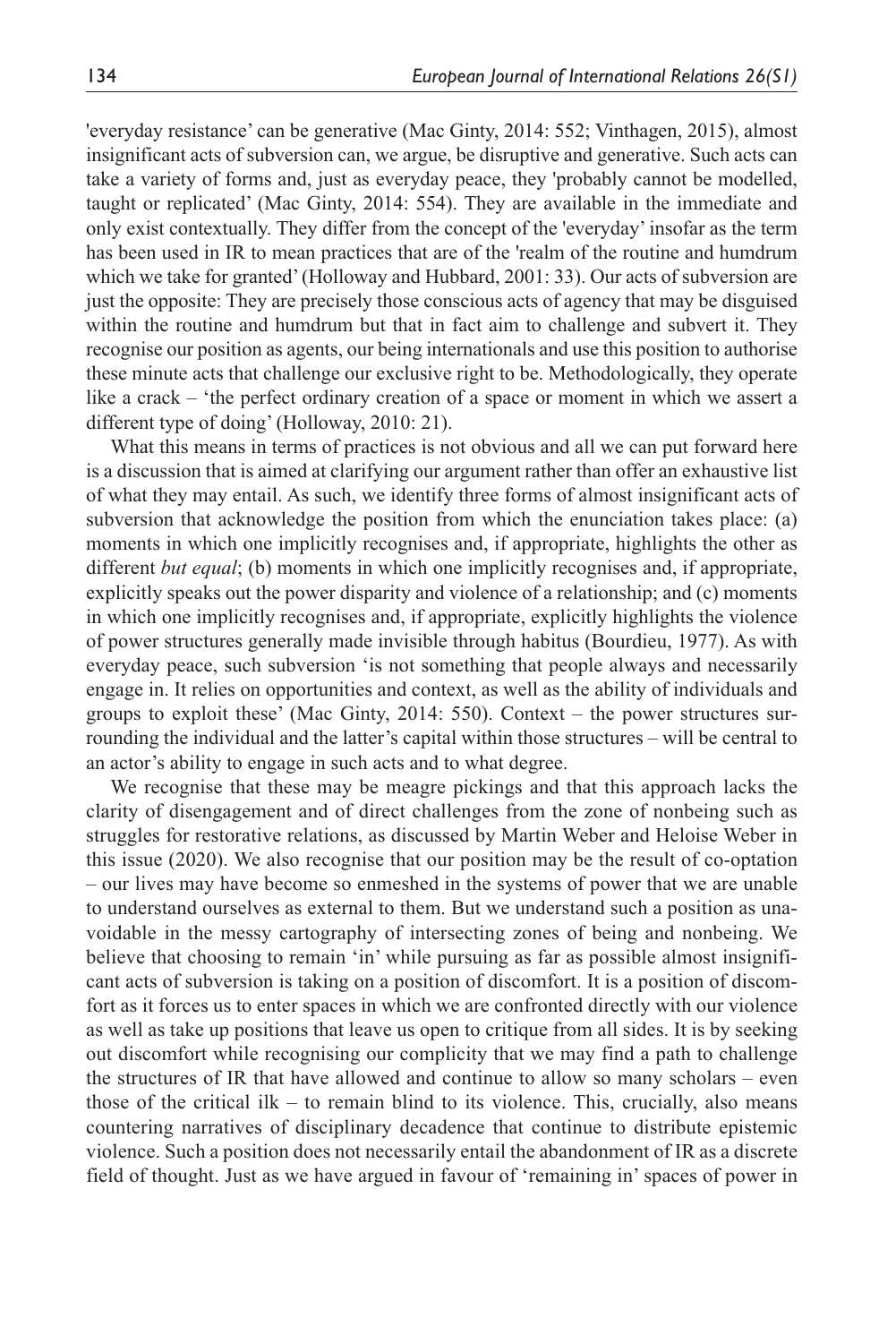'everyday resistance' can be generative (Mac Ginty, 2014: 552; Vinthagen, 2015), almost insignificant acts of subversion can, we argue, be disruptive and generative. Such acts can take a variety of forms and, just as everyday peace, they 'probably cannot be modelled, taught or replicated' (Mac Ginty, 2014: 554). They are available in the immediate and only exist contextually. They differ from the concept of the 'everyday' insofar as the term has been used in IR to mean practices that are of the 'realm of the routine and humdrum which we take for granted' (Holloway and Hubbard, 2001: 33). Our acts of subversion are just the opposite: They are precisely those conscious acts of agency that may be disguised within the routine and humdrum but that in fact aim to challenge and subvert it. They recognise our position as agents, our being internationals and use this position to authorise these minute acts that challenge our exclusive right to be. Methodologically, they operate like a crack – 'the perfect ordinary creation of a space or moment in which we assert a different type of doing' (Holloway, 2010: 21).

What this means in terms of practices is not obvious and all we can put forward here is a discussion that is aimed at clarifying our argument rather than offer an exhaustive list of what they may entail. As such, we identify three forms of almost insignificant acts of subversion that acknowledge the position from which the enunciation takes place: (a) moments in which one implicitly recognises and, if appropriate, highlights the other as different *but equal*; (b) moments in which one implicitly recognises and, if appropriate, explicitly speaks out the power disparity and violence of a relationship; and (c) moments in which one implicitly recognises and, if appropriate, explicitly highlights the violence of power structures generally made invisible through habitus (Bourdieu, 1977). As with everyday peace, such subversion 'is not something that people always and necessarily engage in. It relies on opportunities and context, as well as the ability of individuals and groups to exploit these' (Mac Ginty, 2014: 550). Context – the power structures surrounding the individual and the latter's capital within those structures – will be central to an actor's ability to engage in such acts and to what degree.

We recognise that these may be meagre pickings and that this approach lacks the clarity of disengagement and of direct challenges from the zone of nonbeing such as struggles for restorative relations, as discussed by Martin Weber and Heloise Weber in this issue (2020). We also recognise that our position may be the result of co-optation – our lives may have become so enmeshed in the systems of power that we are unable to understand ourselves as external to them. But we understand such a position as unavoidable in the messy cartography of intersecting zones of being and nonbeing. We believe that choosing to remain 'in' while pursuing as far as possible almost insignificant acts of subversion is taking on a position of discomfort. It is a position of discomfort as it forces us to enter spaces in which we are confronted directly with our violence as well as take up positions that leave us open to critique from all sides. It is by seeking out discomfort while recognising our complicity that we may find a path to challenge the structures of IR that have allowed and continue to allow so many scholars – even those of the critical ilk – to remain blind to its violence. This, crucially, also means countering narratives of disciplinary decadence that continue to distribute epistemic violence. Such a position does not necessarily entail the abandonment of IR as a discrete field of thought. Just as we have argued in favour of 'remaining in' spaces of power in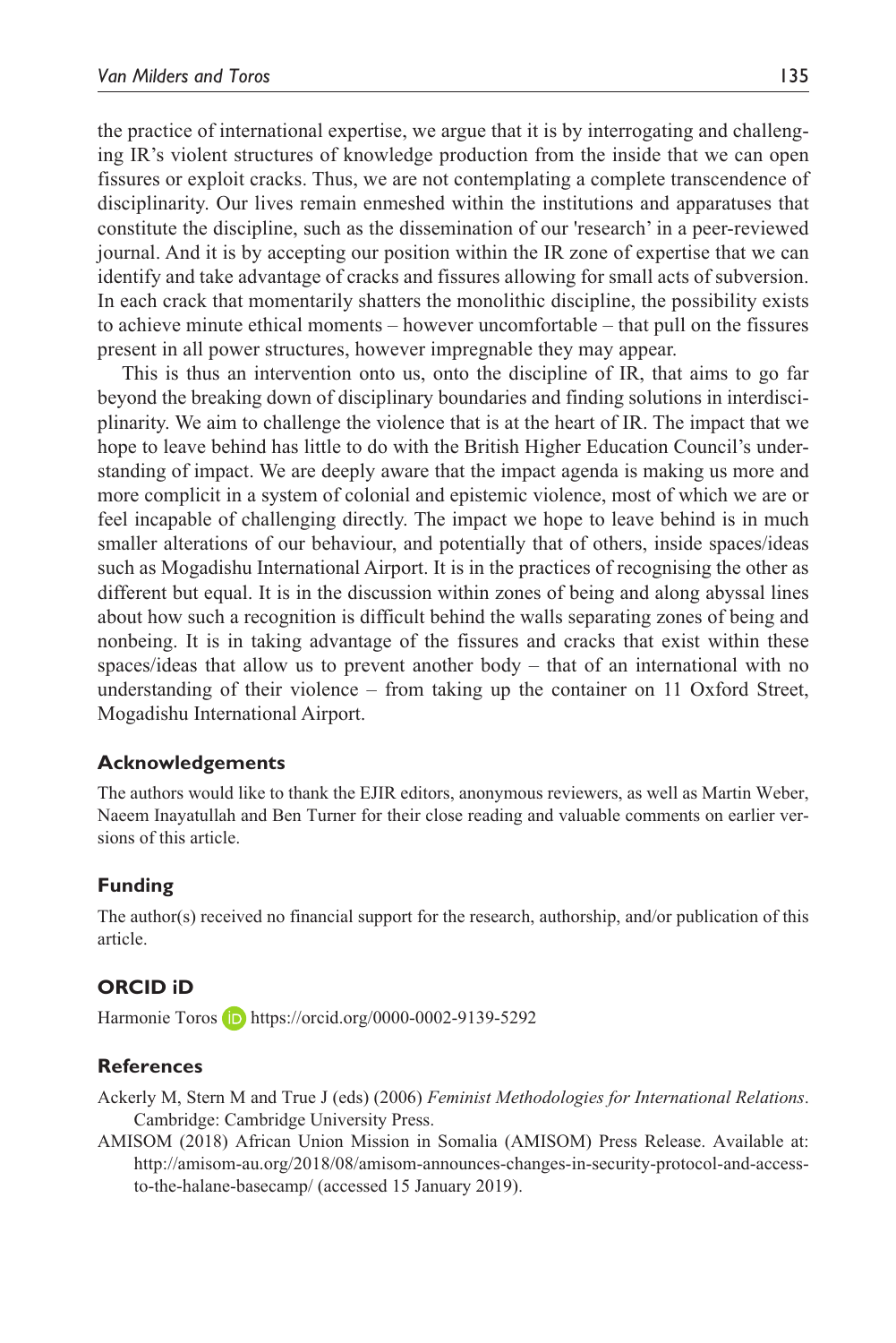the practice of international expertise, we argue that it is by interrogating and challenging IR's violent structures of knowledge production from the inside that we can open fissures or exploit cracks. Thus, we are not contemplating a complete transcendence of disciplinarity. Our lives remain enmeshed within the institutions and apparatuses that constitute the discipline, such as the dissemination of our 'research' in a peer-reviewed journal. And it is by accepting our position within the IR zone of expertise that we can identify and take advantage of cracks and fissures allowing for small acts of subversion. In each crack that momentarily shatters the monolithic discipline, the possibility exists to achieve minute ethical moments – however uncomfortable – that pull on the fissures present in all power structures, however impregnable they may appear.

This is thus an intervention onto us, onto the discipline of IR, that aims to go far beyond the breaking down of disciplinary boundaries and finding solutions in interdisciplinarity. We aim to challenge the violence that is at the heart of IR. The impact that we hope to leave behind has little to do with the British Higher Education Council's understanding of impact. We are deeply aware that the impact agenda is making us more and more complicit in a system of colonial and epistemic violence, most of which we are or feel incapable of challenging directly. The impact we hope to leave behind is in much smaller alterations of our behaviour, and potentially that of others, inside spaces/ideas such as Mogadishu International Airport. It is in the practices of recognising the other as different but equal. It is in the discussion within zones of being and along abyssal lines about how such a recognition is difficult behind the walls separating zones of being and nonbeing. It is in taking advantage of the fissures and cracks that exist within these spaces/ideas that allow us to prevent another body – that of an international with no understanding of their violence – from taking up the container on 11 Oxford Street, Mogadishu International Airport.

#### **Acknowledgements**

The authors would like to thank the EJIR editors, anonymous reviewers, as well as Martin Weber, Naeem Inayatullah and Ben Turner for their close reading and valuable comments on earlier versions of this article.

#### **Funding**

The author(s) received no financial support for the research, authorship, and/or publication of this article.

#### **ORCID iD**

Harmonie Toros **D** <https://orcid.org/0000-0002-9139-5292>

#### **References**

Ackerly M, Stern M and True J (eds) (2006) *Feminist Methodologies for International Relations*. Cambridge: Cambridge University Press.

AMISOM (2018) African Union Mission in Somalia (AMISOM) Press Release. Available at: [http://amisom-au.org/2018/08/amisom-announces-changes-in-security-protocol-and-access](http://amisom-au.org/2018/08/amisom-announces-changes-in-security-protocol-and-access-to-the-halane-basecamp/)[to-the-halane-basecamp/](http://amisom-au.org/2018/08/amisom-announces-changes-in-security-protocol-and-access-to-the-halane-basecamp/) (accessed 15 January 2019).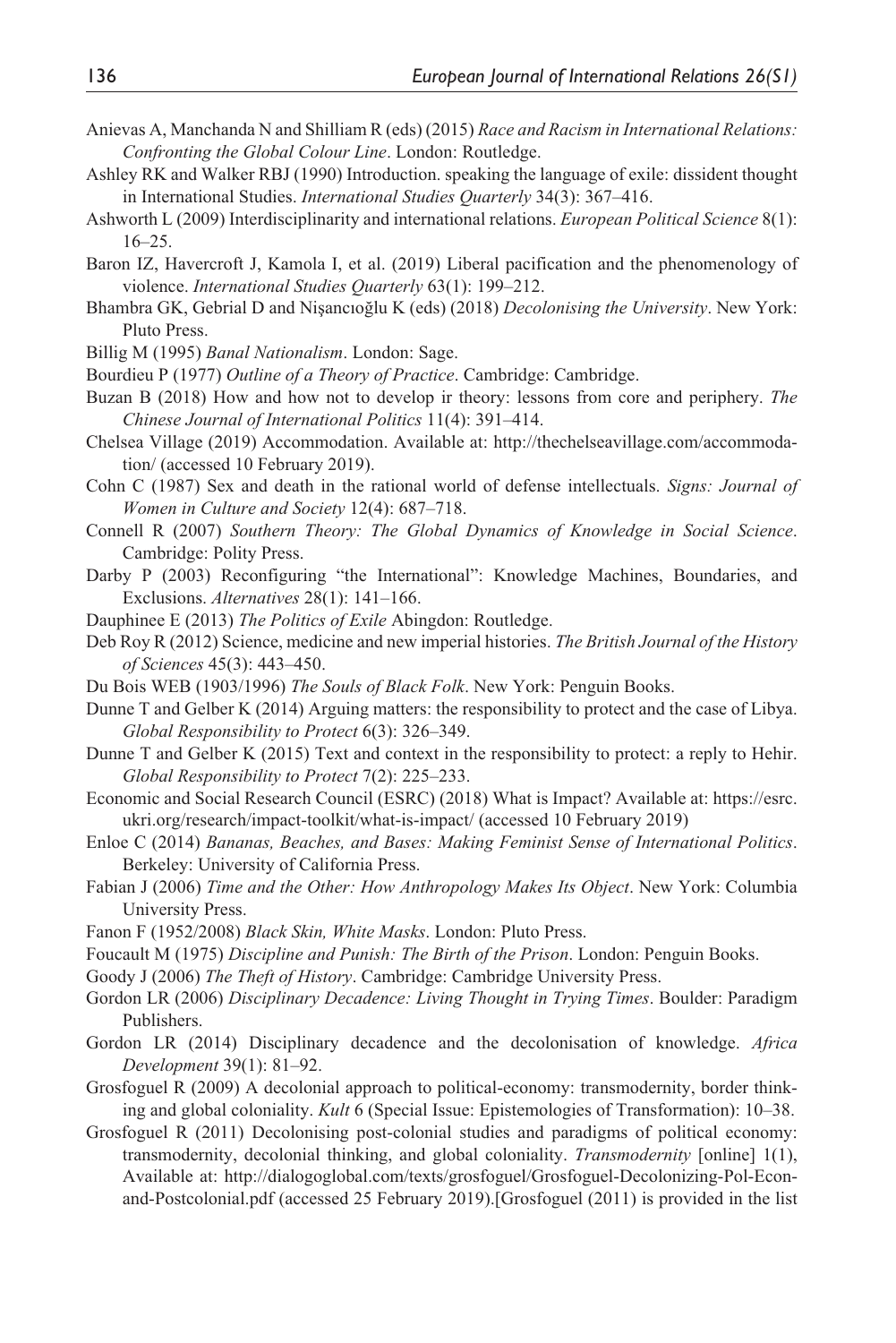- Anievas A, Manchanda N and Shilliam R (eds) (2015) *Race and Racism in International Relations: Confronting the Global Colour Line*. London: Routledge.
- Ashley RK and Walker RBJ (1990) Introduction. speaking the language of exile: dissident thought in International Studies. *International Studies Quarterly* 34(3): 367–416.
- Ashworth L (2009) Interdisciplinarity and international relations. *European Political Science* 8(1): 16–25.
- Baron IZ, Havercroft J, Kamola I, et al. (2019) Liberal pacification and the phenomenology of violence. *International Studies Quarterly* 63(1): 199–212.
- Bhambra GK, Gebrial D and Nişancıoğlu K (eds) (2018) *Decolonising the University*. New York: Pluto Press.
- Billig M (1995) *Banal Nationalism*. London: Sage.
- Bourdieu P (1977) *Outline of a Theory of Practice*. Cambridge: Cambridge.
- Buzan B (2018) How and how not to develop ir theory: lessons from core and periphery. *The Chinese Journal of International Politics* 11(4): 391–414.
- Chelsea Village (2019) Accommodation. Available at: [http://thechelseavillage.com/accommoda](http://thechelseavillage.com/accommodation/)[tion/](http://thechelseavillage.com/accommodation/) (accessed 10 February 2019).
- Cohn C (1987) Sex and death in the rational world of defense intellectuals. *Signs: Journal of Women in Culture and Society* 12(4): 687–718.
- Connell R (2007) *Southern Theory: The Global Dynamics of Knowledge in Social Science*. Cambridge: Polity Press.
- Darby P (2003) Reconfiguring "the International": Knowledge Machines, Boundaries, and Exclusions. *Alternatives* 28(1): 141–166.
- Dauphinee E (2013) *The Politics of Exile* Abingdon: Routledge.
- Deb Roy R (2012) Science, medicine and new imperial histories. *The British Journal of the History of Sciences* 45(3): 443–450.
- Du Bois WEB (1903/1996) *The Souls of Black Folk*. New York: Penguin Books.
- Dunne T and Gelber K (2014) Arguing matters: the responsibility to protect and the case of Libya. *Global Responsibility to Protect* 6(3): 326–349.
- Dunne T and Gelber K (2015) Text and context in the responsibility to protect: a reply to Hehir. *Global Responsibility to Protect* 7(2): 225–233.
- Economic and Social Research Council (ESRC) (2018) What is Impact? Available at: [https://esrc.](https://esrc.ukri.org/research/impact-toolkit/what-is-impact/) [ukri.org/research/impact-toolkit/what-is-impact/](https://esrc.ukri.org/research/impact-toolkit/what-is-impact/) (accessed 10 February 2019)
- Enloe C (2014) *Bananas, Beaches, and Bases: Making Feminist Sense of International Politics*. Berkeley: University of California Press.
- Fabian J (2006) *Time and the Other: How Anthropology Makes Its Object*. New York: Columbia University Press.
- Fanon F (1952/2008) *Black Skin, White Masks*. London: Pluto Press.
- Foucault M (1975) *Discipline and Punish: The Birth of the Prison*. London: Penguin Books.
- Goody J (2006) *The Theft of History*. Cambridge: Cambridge University Press.
- Gordon LR (2006) *Disciplinary Decadence: Living Thought in Trying Times*. Boulder: Paradigm Publishers.
- Gordon LR (2014) Disciplinary decadence and the decolonisation of knowledge. *Africa Development* 39(1): 81–92.
- Grosfoguel R (2009) A decolonial approach to political-economy: transmodernity, border thinking and global coloniality. *Kult* 6 (Special Issue: Epistemologies of Transformation): 10–38.
- Grosfoguel R (2011) Decolonising post-colonial studies and paradigms of political economy: transmodernity, decolonial thinking, and global coloniality. *Transmodernity* [online] 1(1), Available at: [http://dialogoglobal.com/texts/grosfoguel/Grosfoguel-Decolonizing-Pol-Econ](http://dialogoglobal.com/texts/grosfoguel/Grosfoguel-Decolonizing-Pol-Econ-and-Postcolonial.pdf)[and-Postcolonial.pdf](http://dialogoglobal.com/texts/grosfoguel/Grosfoguel-Decolonizing-Pol-Econ-and-Postcolonial.pdf) (accessed 25 February 2019).[Grosfoguel (2011) is provided in the list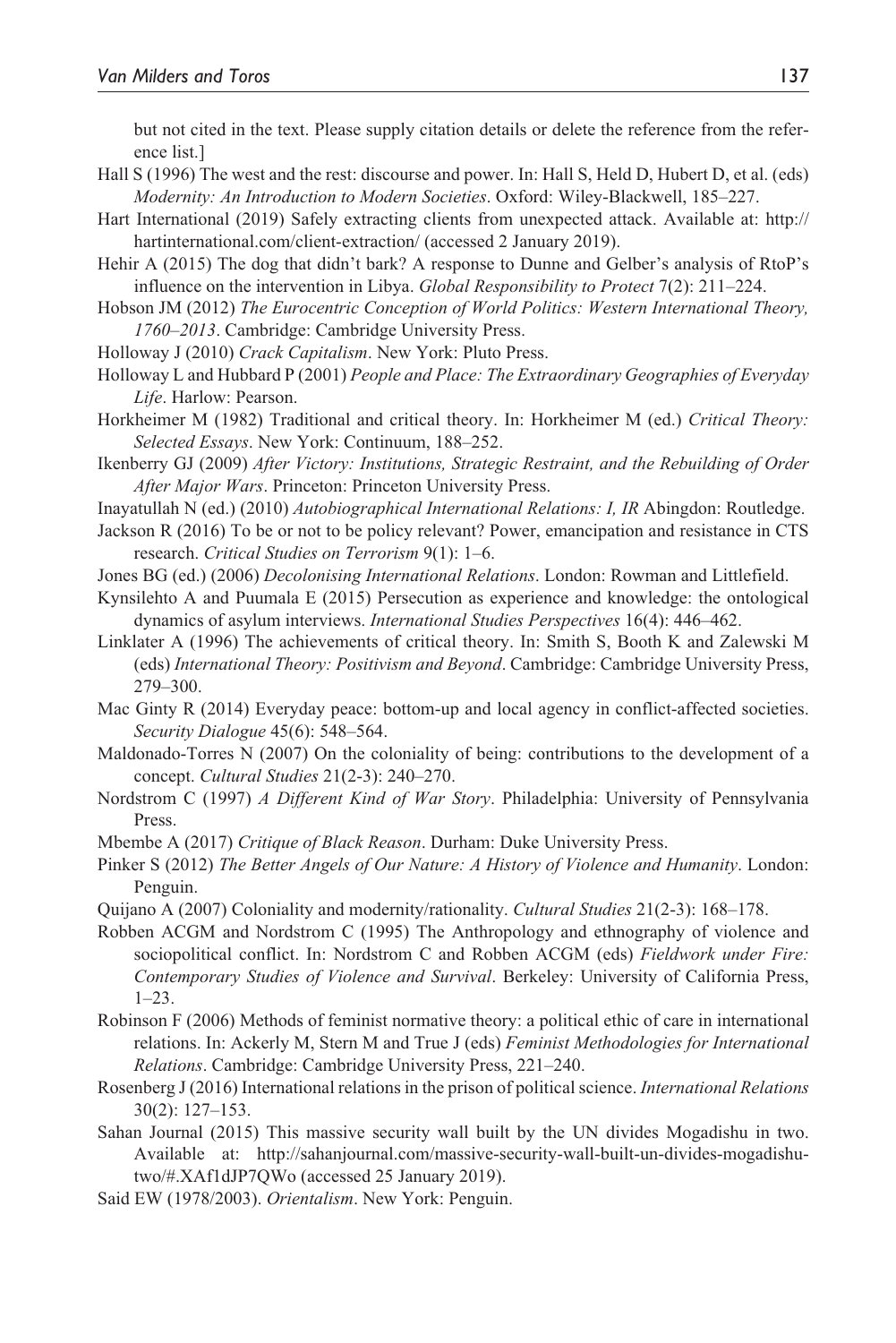but not cited in the text. Please supply citation details or delete the reference from the reference list.]

- Hall S (1996) The west and the rest: discourse and power. In: Hall S, Held D, Hubert D, et al. (eds) *Modernity: An Introduction to Modern Societies*. Oxford: Wiley-Blackwell, 185–227.
- Hart International (2019) Safely extracting clients from unexpected attack. Available at: [http://](http://hartinternational.com/client-extraction/) [hartinternational.com/client-extraction/](http://hartinternational.com/client-extraction/) (accessed 2 January 2019).
- Hehir A (2015) The dog that didn't bark? A response to Dunne and Gelber's analysis of RtoP's influence on the intervention in Libya. *Global Responsibility to Protect* 7(2): 211–224.
- Hobson JM (2012) *The Eurocentric Conception of World Politics: Western International Theory, 1760–2013*. Cambridge: Cambridge University Press.
- Holloway J (2010) *Crack Capitalism*. New York: Pluto Press.
- Holloway L and Hubbard P (2001) *People and Place: The Extraordinary Geographies of Everyday Life*. Harlow: Pearson.
- Horkheimer M (1982) Traditional and critical theory. In: Horkheimer M (ed.) *Critical Theory: Selected Essays*. New York: Continuum, 188–252.
- Ikenberry GJ (2009) *After Victory: Institutions, Strategic Restraint, and the Rebuilding of Order After Major Wars*. Princeton: Princeton University Press.
- Inayatullah N (ed.) (2010) *Autobiographical International Relations: I, IR* Abingdon: Routledge.
- Jackson R (2016) To be or not to be policy relevant? Power, emancipation and resistance in CTS research. *Critical Studies on Terrorism* 9(1): 1–6.
- Jones BG (ed.) (2006) *Decolonising International Relations*. London: Rowman and Littlefield.
- Kynsilehto A and Puumala E (2015) Persecution as experience and knowledge: the ontological dynamics of asylum interviews. *International Studies Perspectives* 16(4): 446–462.
- Linklater A (1996) The achievements of critical theory. In: Smith S, Booth K and Zalewski M (eds) *International Theory: Positivism and Beyond*. Cambridge: Cambridge University Press, 279–300.
- Mac Ginty R (2014) Everyday peace: bottom-up and local agency in conflict-affected societies. *Security Dialogue* 45(6): 548–564.
- Maldonado-Torres N (2007) On the coloniality of being: contributions to the development of a concept. *Cultural Studies* 21(2-3): 240–270.
- Nordstrom C (1997) *A Different Kind of War Story*. Philadelphia: University of Pennsylvania Press.
- Mbembe A (2017) *Critique of Black Reason*. Durham: Duke University Press.
- Pinker S (2012) *The Better Angels of Our Nature: A History of Violence and Humanity*. London: Penguin.
- Quijano A (2007) Coloniality and modernity/rationality. *Cultural Studies* 21(2-3): 168–178.
- Robben ACGM and Nordstrom C (1995) The Anthropology and ethnography of violence and sociopolitical conflict. In: Nordstrom C and Robben ACGM (eds) *Fieldwork under Fire: Contemporary Studies of Violence and Survival*. Berkeley: University of California Press, 1–23.
- Robinson F (2006) Methods of feminist normative theory: a political ethic of care in international relations. In: Ackerly M, Stern M and True J (eds) *Feminist Methodologies for International Relations*. Cambridge: Cambridge University Press, 221–240.
- Rosenberg J (2016) International relations in the prison of political science. *International Relations* 30(2): 127–153.
- Sahan Journal (2015) This massive security wall built by the UN divides Mogadishu in two. Available at: [http://sahanjournal.com/massive-security-wall-built-un-divides-mogadishu](http://sahanjournal.com/massive-security-wall-built-un-divides-mogadishu-two/#.XAf1dJP7QWo)[two/#.XAf1dJP7QWo](http://sahanjournal.com/massive-security-wall-built-un-divides-mogadishu-two/#.XAf1dJP7QWo) (accessed 25 January 2019).
- Said EW (1978/2003). *Orientalism*. New York: Penguin.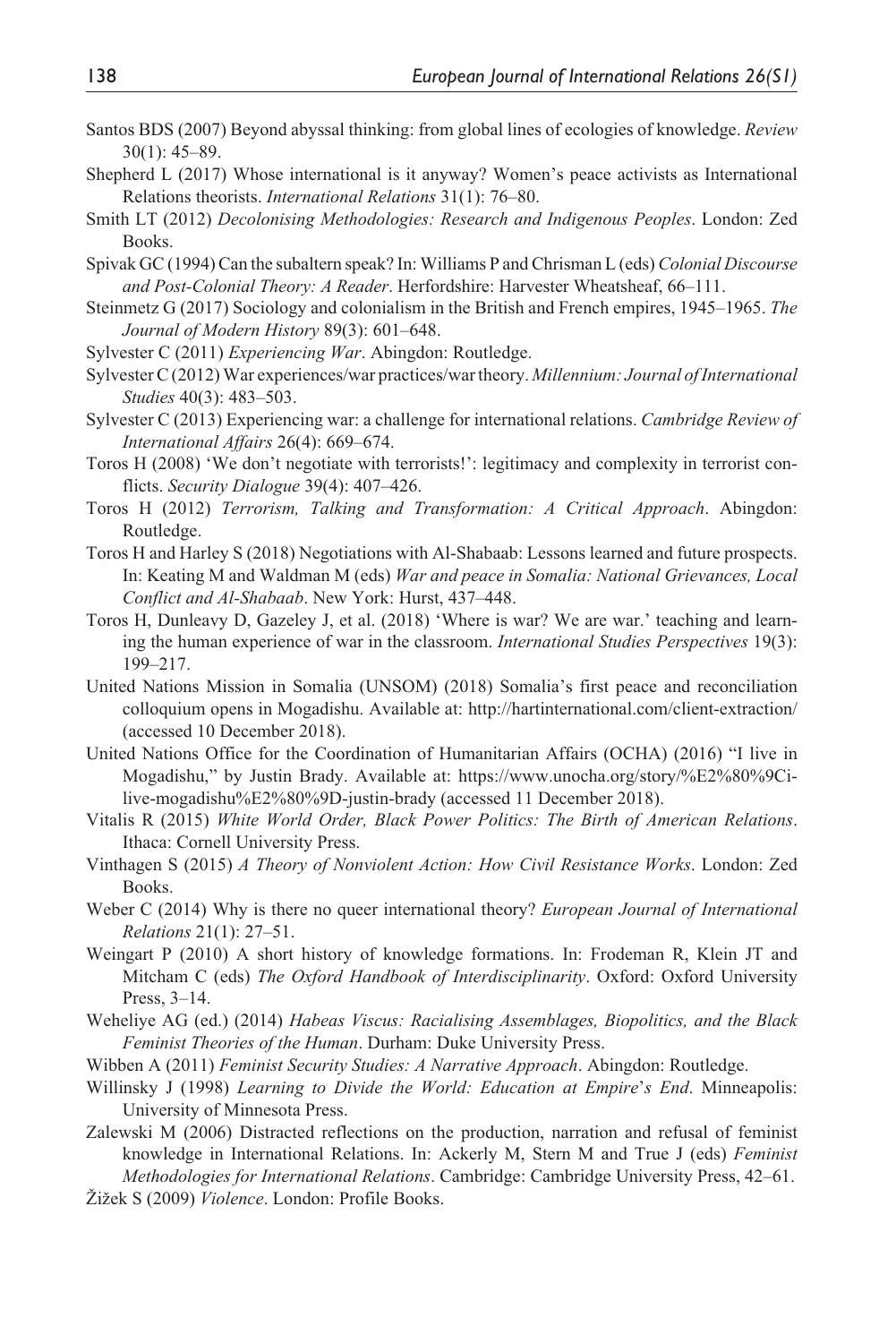- Santos BDS (2007) Beyond abyssal thinking: from global lines of ecologies of knowledge. *Review* 30(1): 45–89.
- Shepherd L (2017) Whose international is it anyway? Women's peace activists as International Relations theorists. *International Relations* 31(1): 76–80.
- Smith LT (2012) *Decolonising Methodologies: Research and Indigenous Peoples*. London: Zed Books.
- Spivak GC (1994) Can the subaltern speak? In: Williams P and Chrisman L (eds) *Colonial Discourse and Post-Colonial Theory: A Reader*. Herfordshire: Harvester Wheatsheaf, 66–111.
- Steinmetz G (2017) Sociology and colonialism in the British and French empires, 1945–1965. *The Journal of Modern History* 89(3): 601–648.
- Sylvester C (2011) *Experiencing War*. Abingdon: Routledge.
- Sylvester C (2012) War experiences/war practices/war theory. *Millennium: Journal of International Studies* 40(3): 483–503.
- Sylvester C (2013) Experiencing war: a challenge for international relations. *Cambridge Review of International Affairs* 26(4): 669–674.
- Toros H (2008) 'We don't negotiate with terrorists!': legitimacy and complexity in terrorist conflicts. *Security Dialogue* 39(4): 407–426.
- Toros H (2012) *Terrorism, Talking and Transformation: A Critical Approach*. Abingdon: Routledge.
- Toros H and Harley S (2018) Negotiations with Al-Shabaab: Lessons learned and future prospects. In: Keating M and Waldman M (eds) *War and peace in Somalia: National Grievances, Local Conflict and Al-Shabaab*. New York: Hurst, 437–448.
- Toros H, Dunleavy D, Gazeley J, et al. (2018) 'Where is war? We are war.' teaching and learning the human experience of war in the classroom. *International Studies Perspectives* 19(3): 199–217.
- United Nations Mission in Somalia (UNSOM) (2018) Somalia's first peace and reconciliation colloquium opens in Mogadishu. Available at:<http://hartinternational.com/client-extraction/> (accessed 10 December 2018).
- United Nations Office for the Coordination of Humanitarian Affairs (OCHA) (2016) "I live in Mogadishu," by Justin Brady. Available at: [https://www.unocha.org/story/%E2%80%9Ci](https://www.unocha.org/story/%E2%80%9Ci-live-mogadishu%E2%80%9D-justin-brady)[live-mogadishu%E2%80%9D-justin-brady](https://www.unocha.org/story/%E2%80%9Ci-live-mogadishu%E2%80%9D-justin-brady) (accessed 11 December 2018).
- Vitalis R (2015) *White World Order, Black Power Politics: The Birth of American Relations*. Ithaca: Cornell University Press.
- Vinthagen S (2015) *A Theory of Nonviolent Action: How Civil Resistance Works*. London: Zed Books.
- Weber C (2014) Why is there no queer international theory? *European Journal of International Relations* 21(1): 27–51.
- Weingart P (2010) A short history of knowledge formations. In: Frodeman R, Klein JT and Mitcham C (eds) *The Oxford Handbook of Interdisciplinarity*. Oxford: Oxford University Press, 3–14.
- Weheliye AG (ed.) (2014) *Habeas Viscus: Racialising Assemblages, Biopolitics, and the Black Feminist Theories of the Human*. Durham: Duke University Press.
- Wibben A (2011) *Feminist Security Studies: A Narrative Approach*. Abingdon: Routledge.
- Willinsky J (1998) *Learning to Divide the World: Education at Empire*'*s End*. Minneapolis: University of Minnesota Press.
- Zalewski M (2006) Distracted reflections on the production, narration and refusal of feminist knowledge in International Relations. In: Ackerly M, Stern M and True J (eds) *Feminist Methodologies for International Relations*. Cambridge: Cambridge University Press, 42–61.
- Žižek S (2009) *Violence*. London: Profile Books.